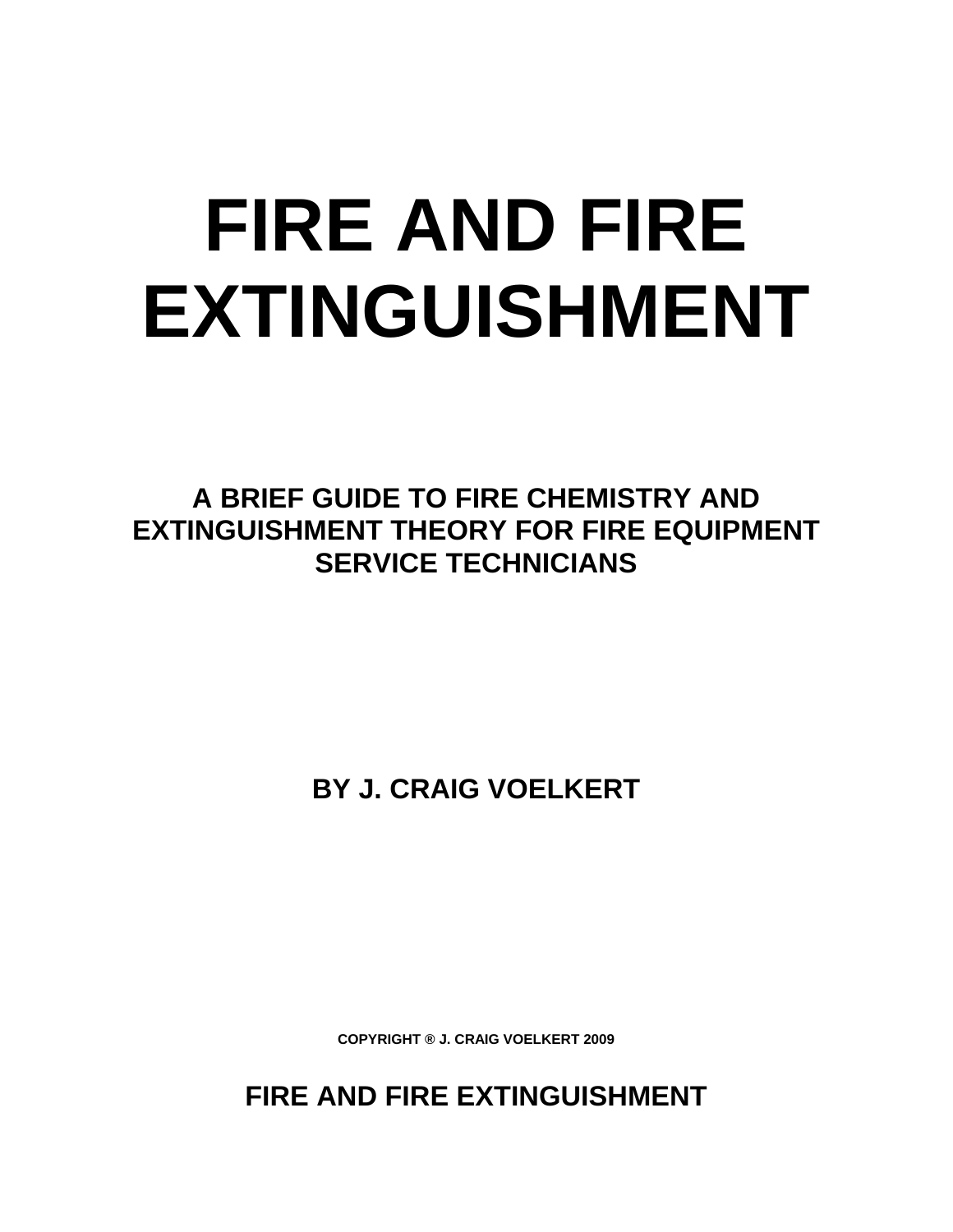# **FIRE AND FIRE EXTINGUISHMENT**

**A BRIEF GUIDE TO FIRE CHEMISTRY AND EXTINGUISHMENT THEORY FOR FIRE EQUIPMENT SERVICE TECHNICIANS** 

**BY J. CRAIG VOELKERT** 

**COPYRIGHT ® J. CRAIG VOELKERT 2009** 

**FIRE AND FIRE EXTINGUISHMENT**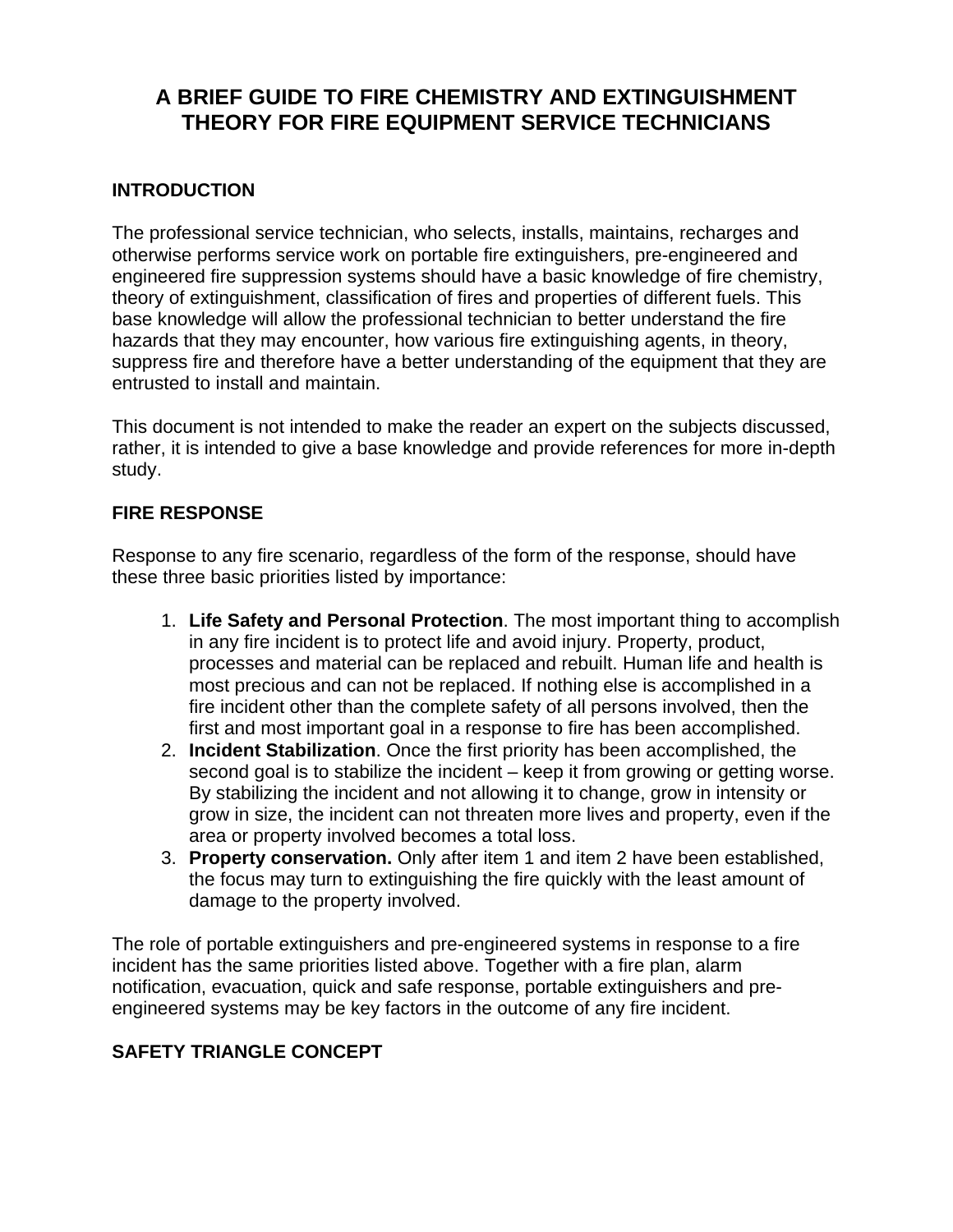# **A BRIEF GUIDE TO FIRE CHEMISTRY AND EXTINGUISHMENT THEORY FOR FIRE EQUIPMENT SERVICE TECHNICIANS**

# **INTRODUCTION**

The professional service technician, who selects, installs, maintains, recharges and otherwise performs service work on portable fire extinguishers, pre-engineered and engineered fire suppression systems should have a basic knowledge of fire chemistry, theory of extinguishment, classification of fires and properties of different fuels. This base knowledge will allow the professional technician to better understand the fire hazards that they may encounter, how various fire extinguishing agents, in theory, suppress fire and therefore have a better understanding of the equipment that they are entrusted to install and maintain.

This document is not intended to make the reader an expert on the subjects discussed, rather, it is intended to give a base knowledge and provide references for more in-depth study.

# **FIRE RESPONSE**

Response to any fire scenario, regardless of the form of the response, should have these three basic priorities listed by importance:

- 1. **Life Safety and Personal Protection**. The most important thing to accomplish in any fire incident is to protect life and avoid injury. Property, product, processes and material can be replaced and rebuilt. Human life and health is most precious and can not be replaced. If nothing else is accomplished in a fire incident other than the complete safety of all persons involved, then the first and most important goal in a response to fire has been accomplished.
- 2. **Incident Stabilization**. Once the first priority has been accomplished, the second goal is to stabilize the incident – keep it from growing or getting worse. By stabilizing the incident and not allowing it to change, grow in intensity or grow in size, the incident can not threaten more lives and property, even if the area or property involved becomes a total loss.
- 3. **Property conservation.** Only after item 1 and item 2 have been established, the focus may turn to extinguishing the fire quickly with the least amount of damage to the property involved.

The role of portable extinguishers and pre-engineered systems in response to a fire incident has the same priorities listed above. Together with a fire plan, alarm notification, evacuation, quick and safe response, portable extinguishers and preengineered systems may be key factors in the outcome of any fire incident.

# **SAFETY TRIANGLE CONCEPT**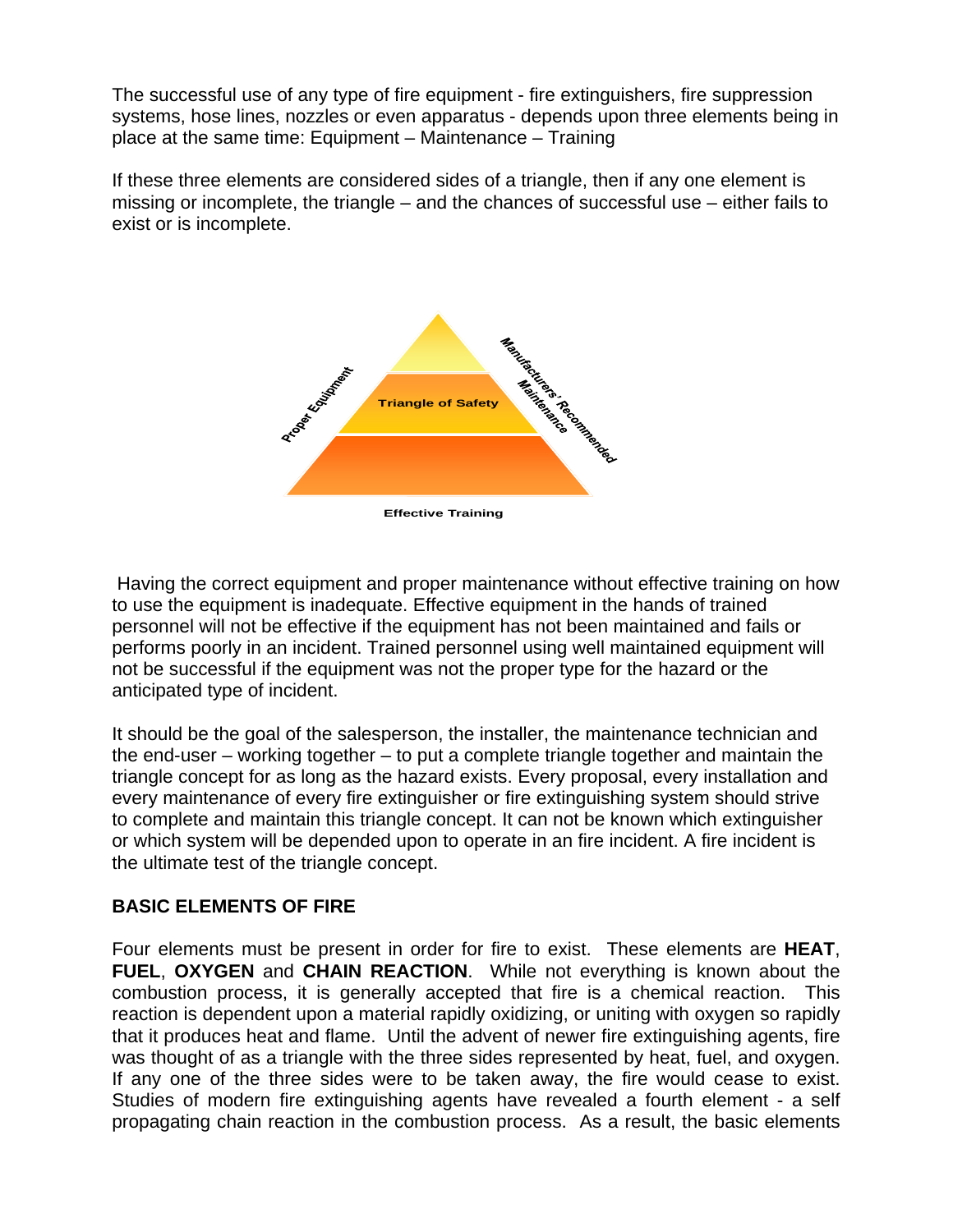The successful use of any type of fire equipment - fire extinguishers, fire suppression systems, hose lines, nozzles or even apparatus - depends upon three elements being in place at the same time: Equipment – Maintenance – Training

If these three elements are considered sides of a triangle, then if any one element is missing or incomplete, the triangle – and the chances of successful use – either fails to exist or is incomplete.



 Having the correct equipment and proper maintenance without effective training on how to use the equipment is inadequate. Effective equipment in the hands of trained personnel will not be effective if the equipment has not been maintained and fails or performs poorly in an incident. Trained personnel using well maintained equipment will not be successful if the equipment was not the proper type for the hazard or the anticipated type of incident.

It should be the goal of the salesperson, the installer, the maintenance technician and the end-user – working together – to put a complete triangle together and maintain the triangle concept for as long as the hazard exists. Every proposal, every installation and every maintenance of every fire extinguisher or fire extinguishing system should strive to complete and maintain this triangle concept. It can not be known which extinguisher or which system will be depended upon to operate in an fire incident. A fire incident is the ultimate test of the triangle concept.

# **BASIC ELEMENTS OF FIRE**

Four elements must be present in order for fire to exist. These elements are **HEAT**, **FUEL**, **OXYGEN** and **CHAIN REACTION**. While not everything is known about the combustion process, it is generally accepted that fire is a chemical reaction. This reaction is dependent upon a material rapidly oxidizing, or uniting with oxygen so rapidly that it produces heat and flame. Until the advent of newer fire extinguishing agents, fire was thought of as a triangle with the three sides represented by heat, fuel, and oxygen. If any one of the three sides were to be taken away, the fire would cease to exist. Studies of modern fire extinguishing agents have revealed a fourth element - a self propagating chain reaction in the combustion process. As a result, the basic elements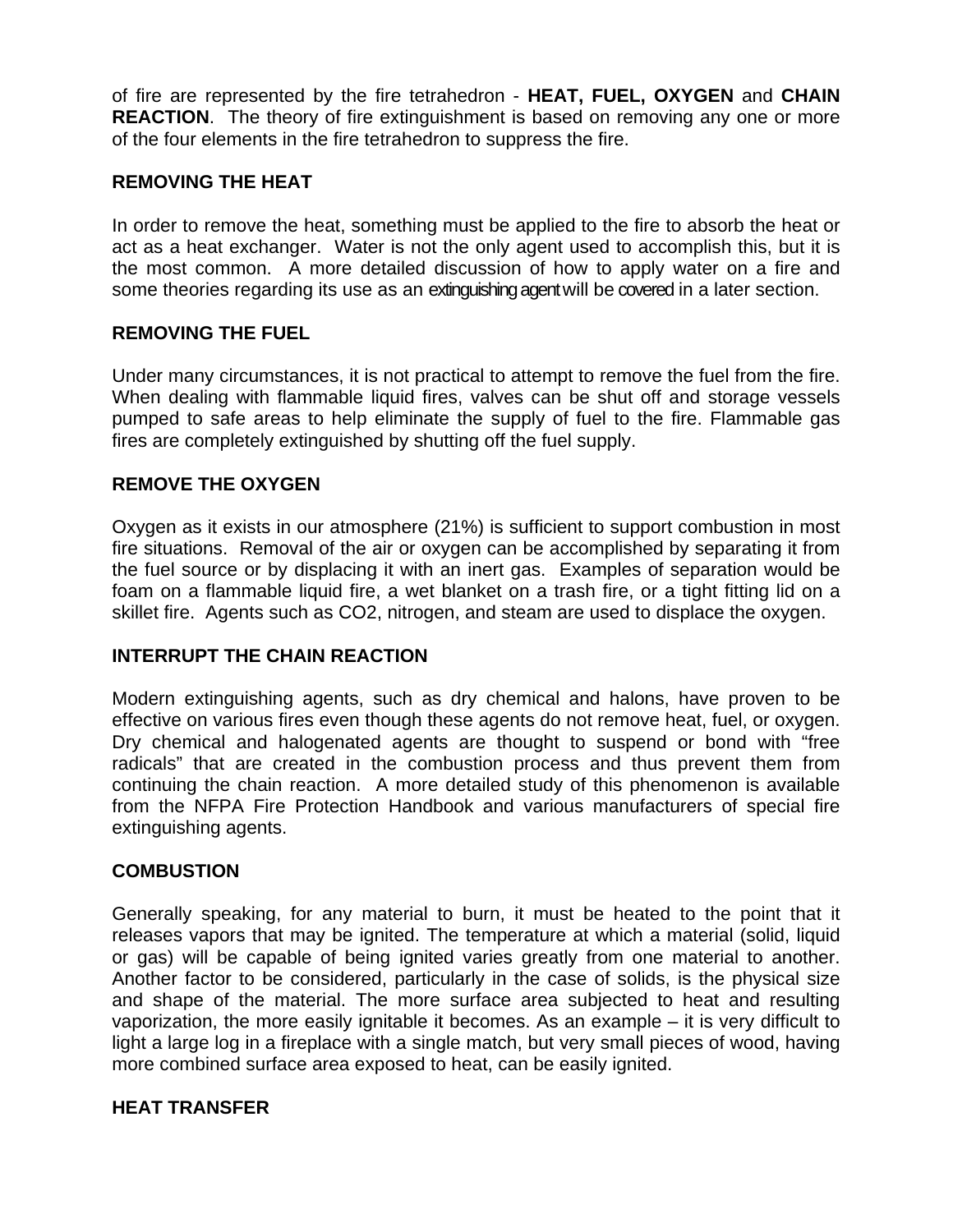of fire are represented by the fire tetrahedron - **HEAT, FUEL, OXYGEN** and **CHAIN REACTION**. The theory of fire extinguishment is based on removing any one or more of the four elements in the fire tetrahedron to suppress the fire.

# **REMOVING THE HEAT**

In order to remove the heat, something must be applied to the fire to absorb the heat or act as a heat exchanger. Water is not the only agent used to accomplish this, but it is the most common. A more detailed discussion of how to apply water on a fire and some theories regarding its use as an extinguishing agent will be covered in a later section.

# **REMOVING THE FUEL**

Under many circumstances, it is not practical to attempt to remove the fuel from the fire. When dealing with flammable liquid fires, valves can be shut off and storage vessels pumped to safe areas to help eliminate the supply of fuel to the fire. Flammable gas fires are completely extinguished by shutting off the fuel supply.

# **REMOVE THE OXYGEN**

Oxygen as it exists in our atmosphere (21%) is sufficient to support combustion in most fire situations. Removal of the air or oxygen can be accomplished by separating it from the fuel source or by displacing it with an inert gas. Examples of separation would be foam on a flammable liquid fire, a wet blanket on a trash fire, or a tight fitting lid on a skillet fire. Agents such as CO2, nitrogen, and steam are used to displace the oxygen.

# **INTERRUPT THE CHAIN REACTION**

Modern extinguishing agents, such as dry chemical and halons, have proven to be effective on various fires even though these agents do not remove heat, fuel, or oxygen. Dry chemical and halogenated agents are thought to suspend or bond with "free radicals" that are created in the combustion process and thus prevent them from continuing the chain reaction. A more detailed study of this phenomenon is available from the NFPA Fire Protection Handbook and various manufacturers of special fire extinguishing agents.

# **COMBUSTION**

Generally speaking, for any material to burn, it must be heated to the point that it releases vapors that may be ignited. The temperature at which a material (solid, liquid or gas) will be capable of being ignited varies greatly from one material to another. Another factor to be considered, particularly in the case of solids, is the physical size and shape of the material. The more surface area subjected to heat and resulting vaporization, the more easily ignitable it becomes. As an example – it is very difficult to light a large log in a fireplace with a single match, but very small pieces of wood, having more combined surface area exposed to heat, can be easily ignited.

# **HEAT TRANSFER**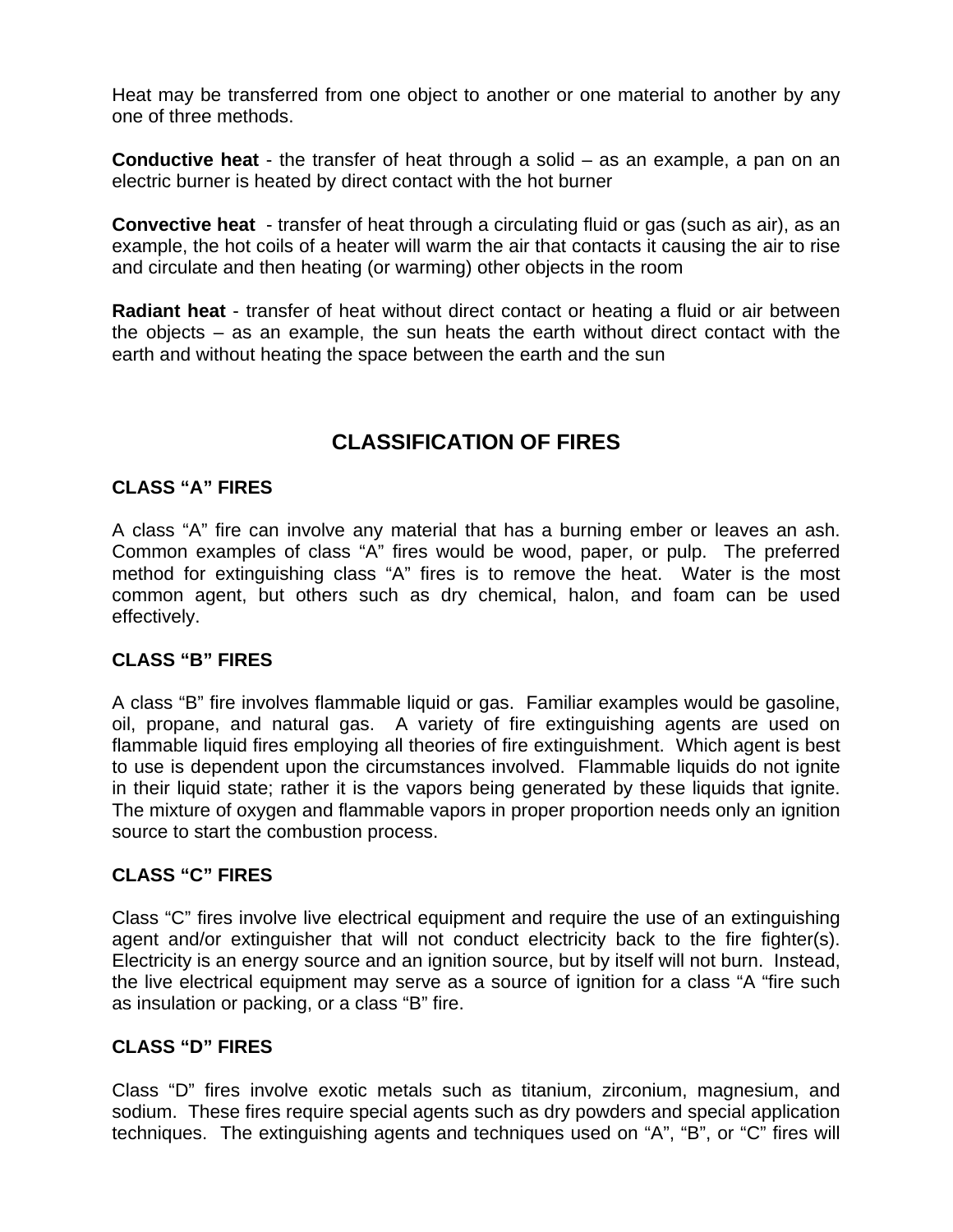Heat may be transferred from one object to another or one material to another by any one of three methods.

**Conductive heat** - the transfer of heat through a solid – as an example, a pan on an electric burner is heated by direct contact with the hot burner

**Convective heat** - transfer of heat through a circulating fluid or gas (such as air), as an example, the hot coils of a heater will warm the air that contacts it causing the air to rise and circulate and then heating (or warming) other objects in the room

**Radiant heat** - transfer of heat without direct contact or heating a fluid or air between the objects – as an example, the sun heats the earth without direct contact with the earth and without heating the space between the earth and the sun

# **CLASSIFICATION OF FIRES**

# **CLASS "A" FIRES**

A class "A" fire can involve any material that has a burning ember or leaves an ash. Common examples of class "A" fires would be wood, paper, or pulp. The preferred method for extinguishing class "A" fires is to remove the heat. Water is the most common agent, but others such as dry chemical, halon, and foam can be used effectively.

# **CLASS "B" FIRES**

A class "B" fire involves flammable liquid or gas. Familiar examples would be gasoline, oil, propane, and natural gas. A variety of fire extinguishing agents are used on flammable liquid fires employing all theories of fire extinguishment. Which agent is best to use is dependent upon the circumstances involved. Flammable liquids do not ignite in their liquid state; rather it is the vapors being generated by these liquids that ignite. The mixture of oxygen and flammable vapors in proper proportion needs only an ignition source to start the combustion process.

# **CLASS "C" FIRES**

Class "C" fires involve live electrical equipment and require the use of an extinguishing agent and/or extinguisher that will not conduct electricity back to the fire fighter(s). Electricity is an energy source and an ignition source, but by itself will not burn. Instead, the live electrical equipment may serve as a source of ignition for a class "A "fire such as insulation or packing, or a class "B" fire.

# **CLASS "D" FIRES**

Class "D" fires involve exotic metals such as titanium, zirconium, magnesium, and sodium. These fires require special agents such as dry powders and special application techniques. The extinguishing agents and techniques used on "A", "B", or "C" fires will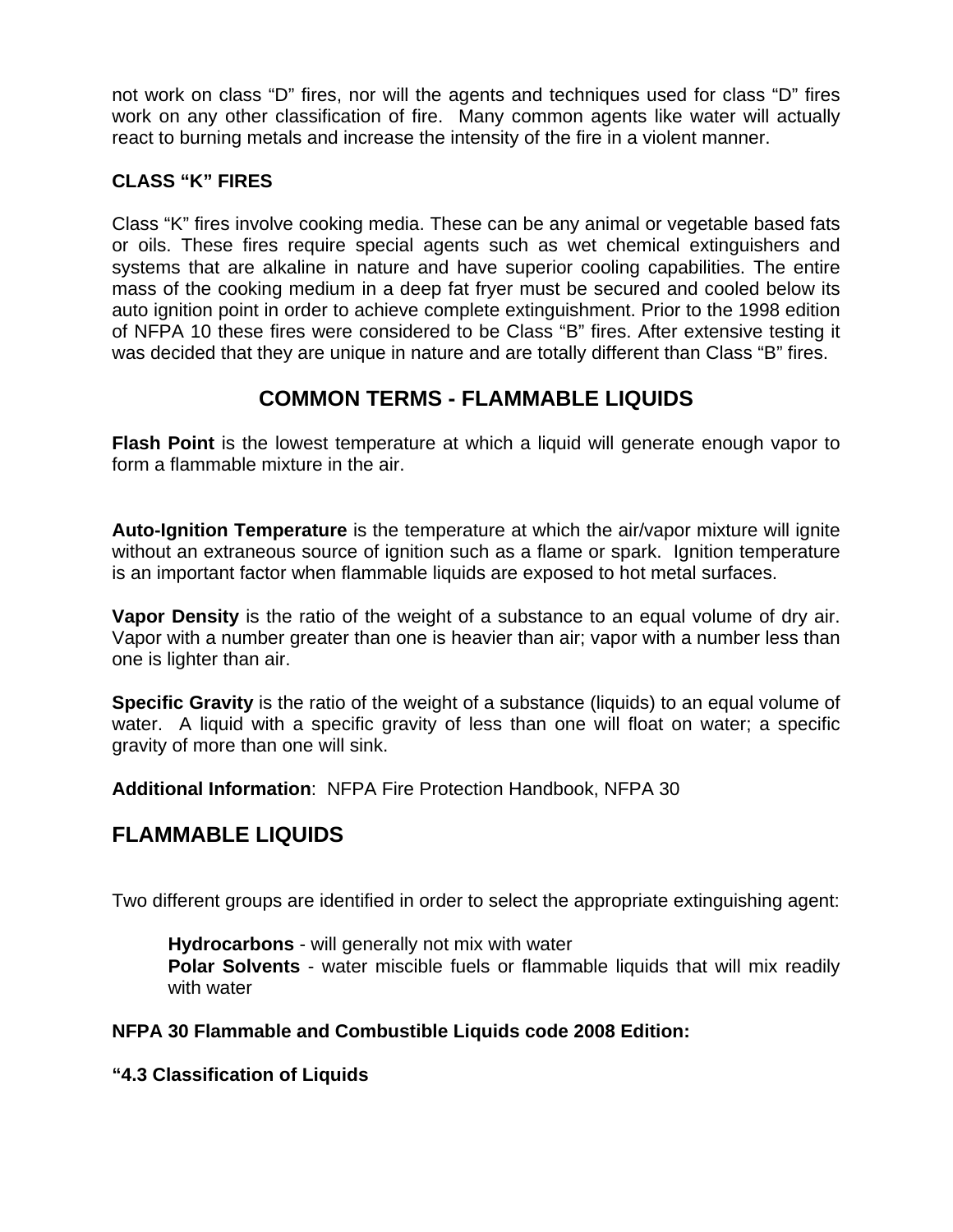not work on class "D" fires, nor will the agents and techniques used for class "D" fires work on any other classification of fire. Many common agents like water will actually react to burning metals and increase the intensity of the fire in a violent manner.

# **CLASS "K" FIRES**

Class "K" fires involve cooking media. These can be any animal or vegetable based fats or oils. These fires require special agents such as wet chemical extinguishers and systems that are alkaline in nature and have superior cooling capabilities. The entire mass of the cooking medium in a deep fat fryer must be secured and cooled below its auto ignition point in order to achieve complete extinguishment. Prior to the 1998 edition of NFPA 10 these fires were considered to be Class "B" fires. After extensive testing it was decided that they are unique in nature and are totally different than Class "B" fires.

# **COMMON TERMS - FLAMMABLE LIQUIDS**

**Flash Point** is the lowest temperature at which a liquid will generate enough vapor to form a flammable mixture in the air.

**Auto-Ignition Temperature** is the temperature at which the air/vapor mixture will ignite without an extraneous source of ignition such as a flame or spark. Ignition temperature is an important factor when flammable liquids are exposed to hot metal surfaces.

**Vapor Density** is the ratio of the weight of a substance to an equal volume of dry air. Vapor with a number greater than one is heavier than air; vapor with a number less than one is lighter than air.

**Specific Gravity** is the ratio of the weight of a substance (liquids) to an equal volume of water. A liquid with a specific gravity of less than one will float on water; a specific gravity of more than one will sink.

**Additional Information**: NFPA Fire Protection Handbook, NFPA 30

# **FLAMMABLE LIQUIDS**

Two different groups are identified in order to select the appropriate extinguishing agent:

**Hydrocarbons** - will generally not mix with water **Polar Solvents** - water miscible fuels or flammable liquids that will mix readily with water

# **NFPA 30 Flammable and Combustible Liquids code 2008 Edition:**

**"4.3 Classification of Liquids**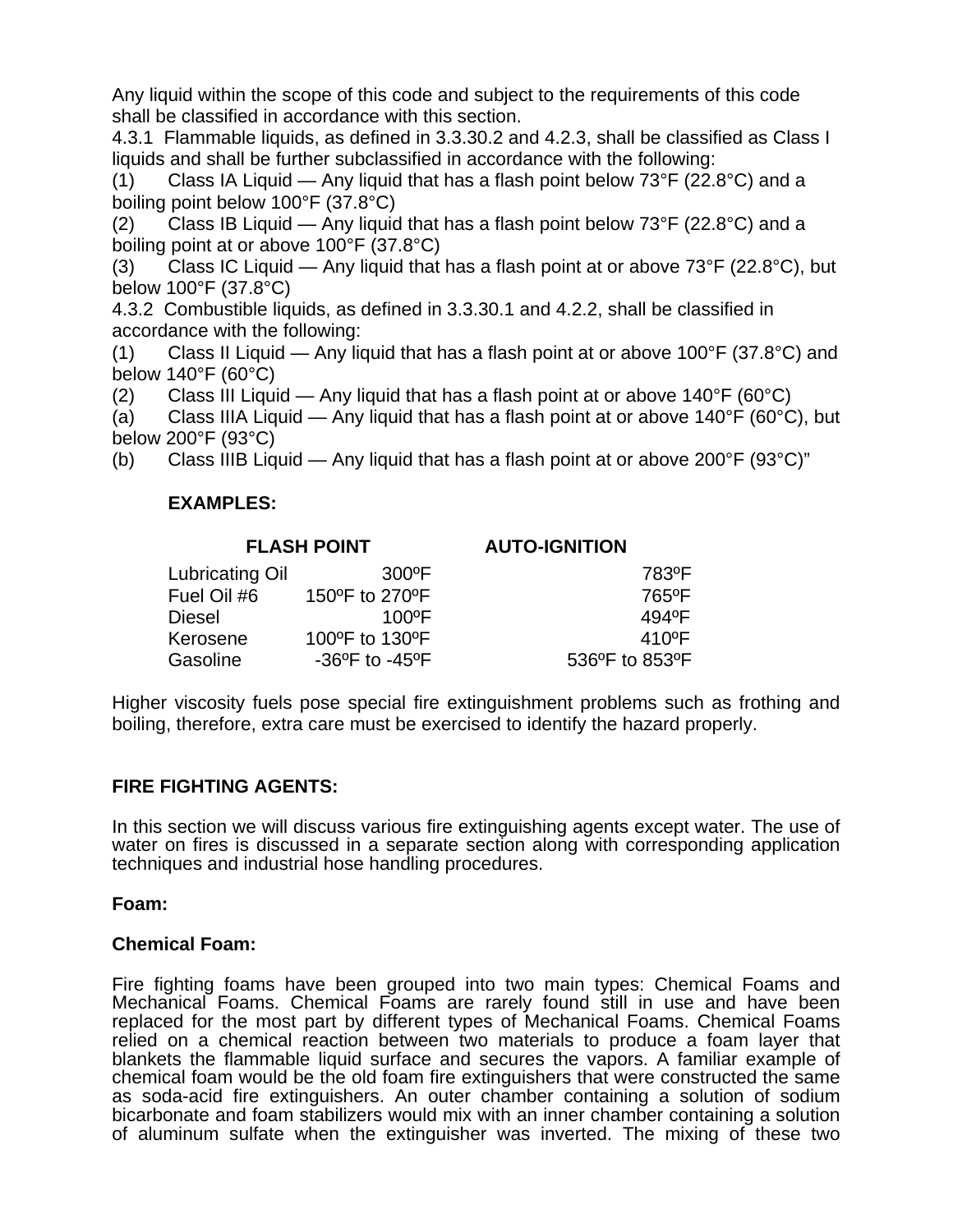Any liquid within the scope of this code and subject to the requirements of this code shall be classified in accordance with this section.

4.3.1 Flammable liquids, as defined in 3.3.30.2 and 4.2.3, shall be classified as Class I liquids and shall be further subclassified in accordance with the following:

(1) Class IA Liquid — Any liquid that has a flash point below  $73^{\circ}F$  (22.8 $^{\circ}C$ ) and a boiling point below 100°F (37.8°C)

(2) Class IB Liquid — Any liquid that has a flash point below  $73^{\circ}F$  (22.8 $^{\circ}C$ ) and a boiling point at or above 100°F (37.8°C)

(3) Class IC Liquid — Any liquid that has a flash point at or above  $73^{\circ}F(22.8^{\circ}C)$ , but below 100°F (37.8°C)

4.3.2 Combustible liquids, as defined in 3.3.30.1 and 4.2.2, shall be classified in accordance with the following:

(1) Class II Liquid — Any liquid that has a flash point at or above 100 $\degree$ F (37.8 $\degree$ C) and below 140°F (60°C)

(2) Class III Liquid — Any liquid that has a flash point at or above  $140^{\circ}F (60^{\circ}C)$ 

(a) Class IIIA Liquid — Any liquid that has a flash point at or above  $140^{\circ}F$  (60 $^{\circ}C$ ), but below 200°F (93°C)

(b) Class IIIB Liquid — Any liquid that has a flash point at or above 200°F (93°C)"

# **EXAMPLES:**

|                 | <b>FLASH POINT</b>                 | <b>AUTO-IGNITION</b> |  |  |
|-----------------|------------------------------------|----------------------|--|--|
| Lubricating Oil | $300^{\circ}$ F                    | 783ºF                |  |  |
| Fuel Oil #6     | 150°F to 270°F                     | 765°F                |  |  |
| <b>Diesel</b>   | $100^{\circ}$ F                    | 494°F                |  |  |
| Kerosene        | 100°F to 130°F                     | $410$ <sup>o</sup> F |  |  |
| Gasoline        | $-36^{\circ}$ F to $-45^{\circ}$ F | 536°F to 853°F       |  |  |

Higher viscosity fuels pose special fire extinguishment problems such as frothing and boiling, therefore, extra care must be exercised to identify the hazard properly.

# **FIRE FIGHTING AGENTS:**

In this section we will discuss various fire extinguishing agents except water. The use of water on fires is discussed in a separate section along with corresponding application techniques and industrial hose handling procedures.

# **Foam:**

# **Chemical Foam:**

Fire fighting foams have been grouped into two main types: Chemical Foams and Mechanical Foams. Chemical Foams are rarely found still in use and have been replaced for the most part by different types of Mechanical Foams. Chemical Foams relied on a chemical reaction between two materials to produce a foam layer that blankets the flammable liquid surface and secures the vapors. A familiar example of chemical foam would be the old foam fire extinguishers that were constructed the same as soda-acid fire extinguishers. An outer chamber containing a solution of sodium bicarbonate and foam stabilizers would mix with an inner chamber containing a solution of aluminum sulfate when the extinguisher was inverted. The mixing of these two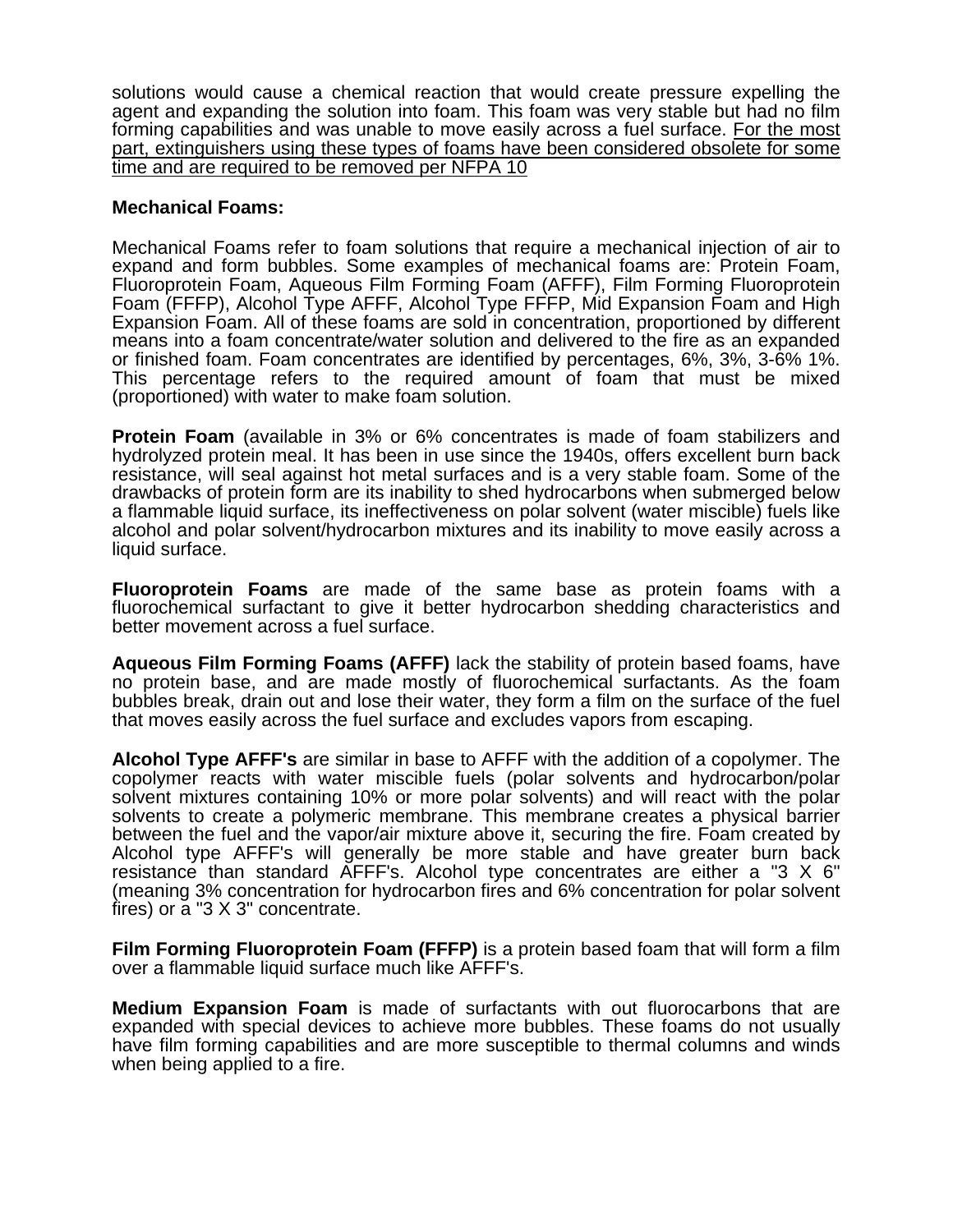solutions would cause a chemical reaction that would create pressure expelling the agent and expanding the solution into foam. This foam was very stable but had no film forming capabilities and was unable to move easily across a fuel surface. For the most part, extinguishers using these types of foams have been considered obsolete for some time and are required to be removed per NFPA 10

#### **Mechanical Foams:**

Mechanical Foams refer to foam solutions that require a mechanical injection of air to expand and form bubbles. Some examples of mechanical foams are: Protein Foam, Fluoroprotein Foam, Aqueous Film Forming Foam (AFFF), Film Forming Fluoroprotein Foam (FFFP), Alcohol Type AFFF, Alcohol Type FFFP, Mid Expansion Foam and High Expansion Foam. All of these foams are sold in concentration, proportioned by different means into a foam concentrate/water solution and delivered to the fire as an expanded or finished foam. Foam concentrates are identified by percentages, 6%, 3%, 3-6% 1%. This percentage refers to the required amount of foam that must be mixed (proportioned) with water to make foam solution.

**Protein Foam** (available in 3% or 6% concentrates is made of foam stabilizers and hydrolyzed protein meal. It has been in use since the 1940s, offers excellent burn back resistance, will seal against hot metal surfaces and is a very stable foam. Some of the drawbacks of protein form are its inability to shed hydrocarbons when submerged below a flammable liquid surface, its ineffectiveness on polar solvent (water miscible) fuels like alcohol and polar solvent/hydrocarbon mixtures and its inability to move easily across a liquid surface.

**Fluoroprotein Foams** are made of the same base as protein foams with a fluorochemical surfactant to give it better hydrocarbon shedding characteristics and better movement across a fuel surface.

**Aqueous Film Forming Foams (AFFF)** lack the stability of protein based foams, have no protein base, and are made mostly of fluorochemical surfactants. As the foam bubbles break, drain out and lose their water, they form a film on the surface of the fuel that moves easily across the fuel surface and excludes vapors from escaping.

**Alcohol Type AFFF's** are similar in base to AFFF with the addition of a copolymer. The copolymer reacts with water miscible fuels (polar solvents and hydrocarbon/polar solvent mixtures containing 10% or more polar solvents) and will react with the polar solvents to create a polymeric membrane. This membrane creates a physical barrier between the fuel and the vapor/air mixture above it, securing the fire. Foam created by Alcohol type AFFF's will generally be more stable and have greater burn back resistance than standard AFFF's. Alcohol type concentrates are either a "3 X 6" (meaning 3% concentration for hydrocarbon fires and 6% concentration for polar solvent fires) or a "3 X 3" concentrate.

**Film Forming Fluoroprotein Foam (FFFP)** is a protein based foam that will form a film over a flammable liquid surface much like AFFF's.

**Medium Expansion Foam** is made of surfactants with out fluorocarbons that are expanded with special devices to achieve more bubbles. These foams do not usually have film forming capabilities and are more susceptible to thermal columns and winds when being applied to a fire.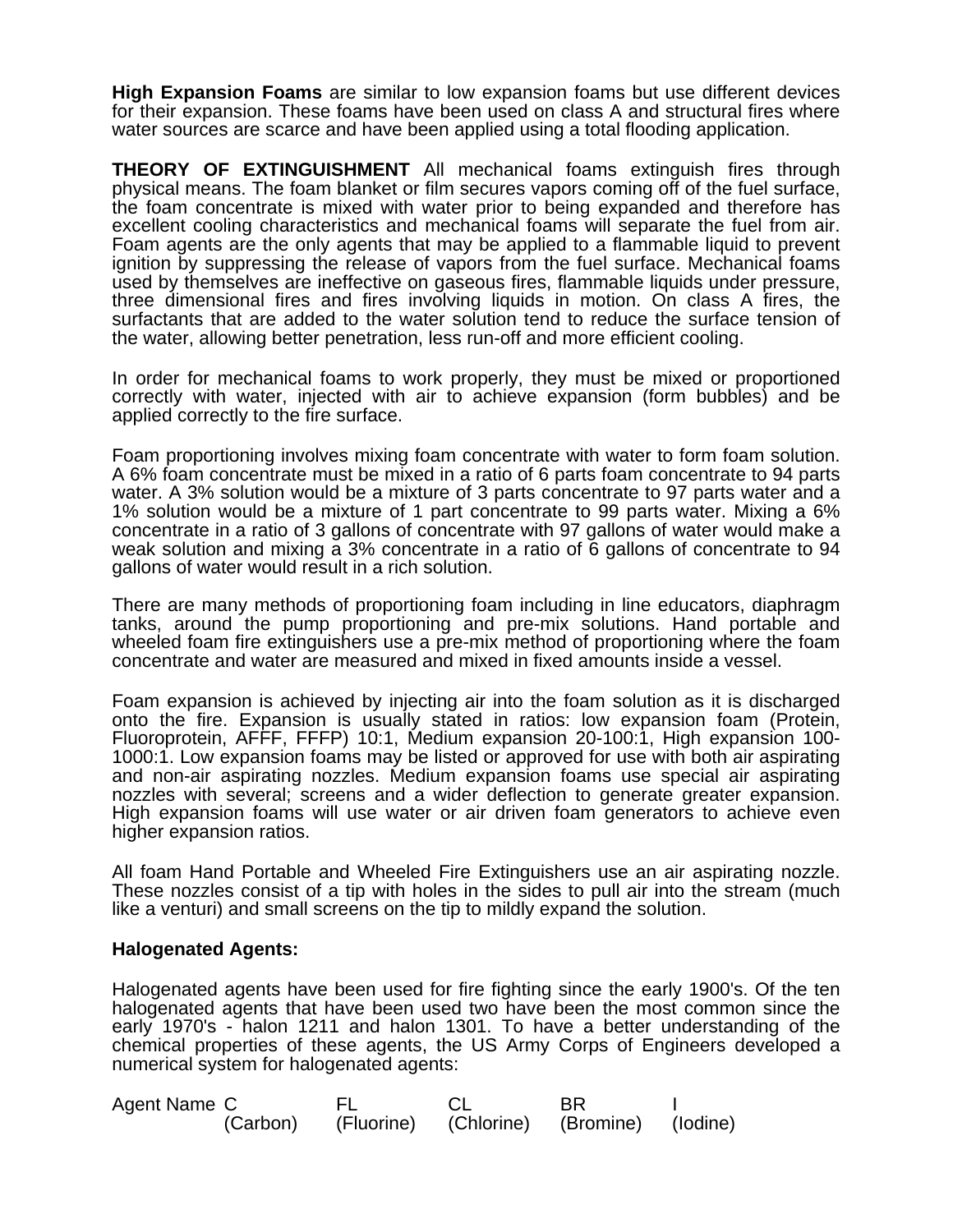**High Expansion Foams** are similar to low expansion foams but use different devices for their expansion. These foams have been used on class A and structural fires where water sources are scarce and have been applied using a total flooding application.

**THEORY OF EXTINGUISHMENT** All mechanical foams extinguish fires through physical means. The foam blanket or film secures vapors coming off of the fuel surface, the foam concentrate is mixed with water prior to being expanded and therefore has excellent cooling characteristics and mechanical foams will separate the fuel from air. Foam agents are the only agents that may be applied to a flammable liquid to prevent ignition by suppressing the release of vapors from the fuel surface. Mechanical foams used by themselves are ineffective on gaseous fires, flammable liquids under pressure, three dimensional fires and fires involving liquids in motion. On class A fires, the surfactants that are added to the water solution tend to reduce the surface tension of the water, allowing better penetration, less run-off and more efficient cooling.

In order for mechanical foams to work properly, they must be mixed or proportioned correctly with water, injected with air to achieve expansion (form bubbles) and be applied correctly to the fire surface.

Foam proportioning involves mixing foam concentrate with water to form foam solution. A 6% foam concentrate must be mixed in a ratio of 6 parts foam concentrate to 94 parts water. A 3% solution would be a mixture of 3 parts concentrate to 97 parts water and a 1% solution would be a mixture of 1 part concentrate to 99 parts water. Mixing a 6% concentrate in a ratio of 3 gallons of concentrate with 97 gallons of water would make a weak solution and mixing a 3% concentrate in a ratio of 6 gallons of concentrate to 94 gallons of water would result in a rich solution.

There are many methods of proportioning foam including in line educators, diaphragm tanks, around the pump proportioning and pre-mix solutions. Hand portable and wheeled foam fire extinguishers use a pre-mix method of proportioning where the foam concentrate and water are measured and mixed in fixed amounts inside a vessel.

Foam expansion is achieved by injecting air into the foam solution as it is discharged onto the fire. Expansion is usually stated in ratios: low expansion foam (Protein, Fluoroprotein, AFFF, FFFP) 10:1, Medium expansion 20-100:1, High expansion 100- 1000:1. Low expansion foams may be listed or approved for use with both air aspirating and non-air aspirating nozzles. Medium expansion foams use special air aspirating nozzles with several; screens and a wider deflection to generate greater expansion. High expansion foams will use water or air driven foam generators to achieve even higher expansion ratios.

All foam Hand Portable and Wheeled Fire Extinguishers use an air aspirating nozzle. These nozzles consist of a tip with holes in the sides to pull air into the stream (much like a venturi) and small screens on the tip to mildly expand the solution.

#### **Halogenated Agents:**

Halogenated agents have been used for fire fighting since the early 1900's. Of the ten halogenated agents that have been used two have been the most common since the early 1970's - halon 1211 and halon 1301. To have a better understanding of the chemical properties of these agents, the US Army Corps of Engineers developed a numerical system for halogenated agents:

| Agent Name C |          |  | <b>BR</b>                                |  |
|--------------|----------|--|------------------------------------------|--|
|              | (Carbon) |  | (Fluorine) (Chlorine) (Bromine) (Iodine) |  |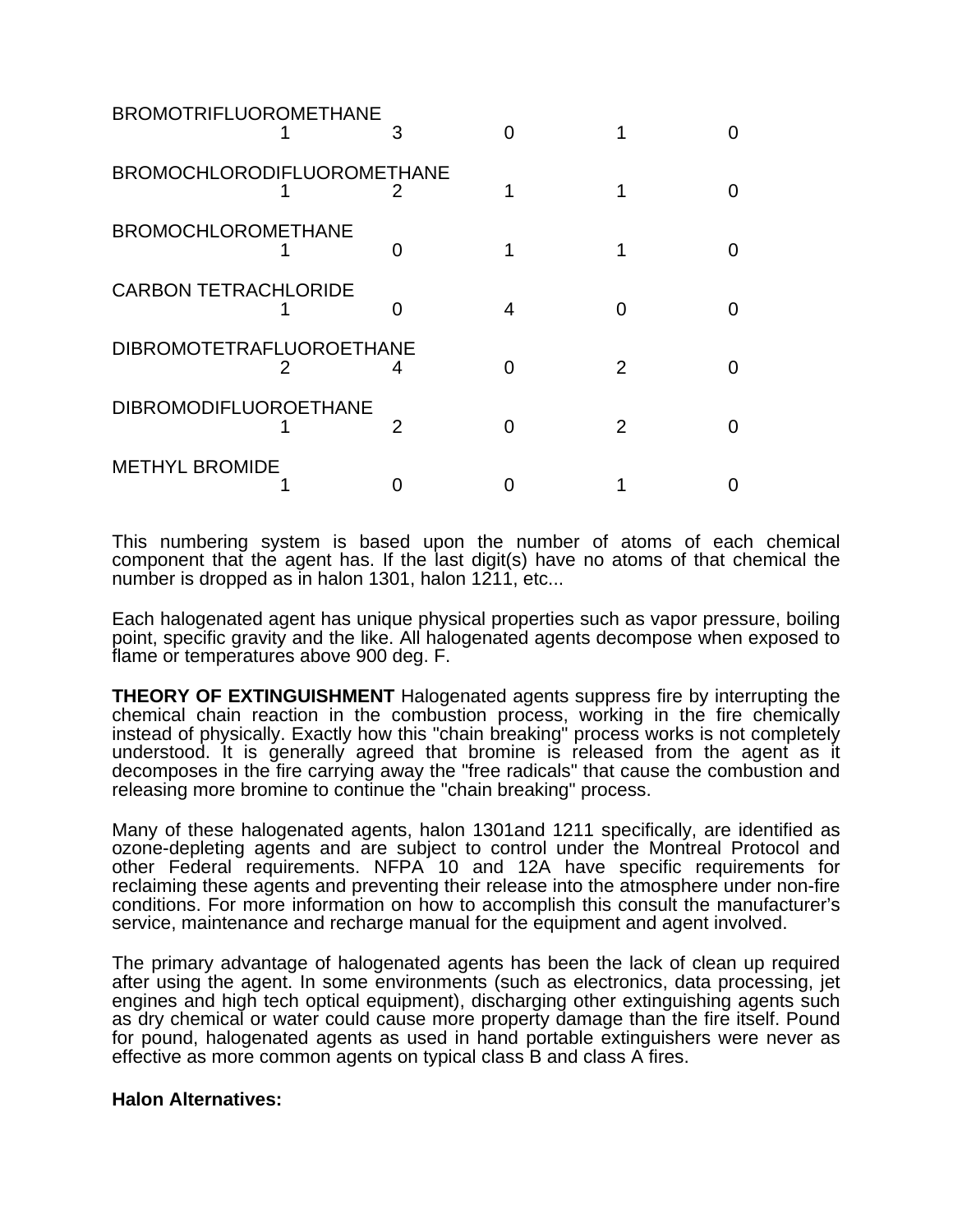| <b>BROMOTRIFLUOROMETHANE</b>    |  |   |  |
|---------------------------------|--|---|--|
| BROMOCHLORODIFLUOROMETHANE      |  |   |  |
| <b>BROMOCHLOROMETHANE</b>       |  |   |  |
| <b>CARBON TETRACHLORIDE</b>     |  |   |  |
| <b>DIBROMOTETRAFLUOROETHANE</b> |  | 2 |  |
| <b>DIBROMODIFLUOROETHANE</b>    |  |   |  |
| <b>METHYL BROMIDE</b>           |  |   |  |

This numbering system is based upon the number of atoms of each chemical component that the agent has. If the last digit(s) have no atoms of that chemical the number is dropped as in halon 1301, halon 1211, etc...

Each halogenated agent has unique physical properties such as vapor pressure, boiling point, specific gravity and the like. All halogenated agents decompose when exposed to flame or temperatures above 900 deg. F.

**THEORY OF EXTINGUISHMENT** Halogenated agents suppress fire by interrupting the chemical chain reaction in the combustion process, working in the fire chemically instead of physically. Exactly how this "chain breaking" process works is not completely understood. It is generally agreed that bromine is released from the agent as it decomposes in the fire carrying away the "free radicals" that cause the combustion and releasing more bromine to continue the "chain breaking" process.

Many of these halogenated agents, halon 1301and 1211 specifically, are identified as ozone-depleting agents and are subject to control under the Montreal Protocol and other Federal requirements. NFPA 10 and 12A have specific requirements for reclaiming these agents and preventing their release into the atmosphere under non-fire conditions. For more information on how to accomplish this consult the manufacturer's service, maintenance and recharge manual for the equipment and agent involved.

The primary advantage of halogenated agents has been the lack of clean up required after using the agent. In some environments (such as electronics, data processing, jet engines and high tech optical equipment), discharging other extinguishing agents such as dry chemical or water could cause more property damage than the fire itself. Pound for pound, halogenated agents as used in hand portable extinguishers were never as effective as more common agents on typical class B and class A fires.

#### **Halon Alternatives:**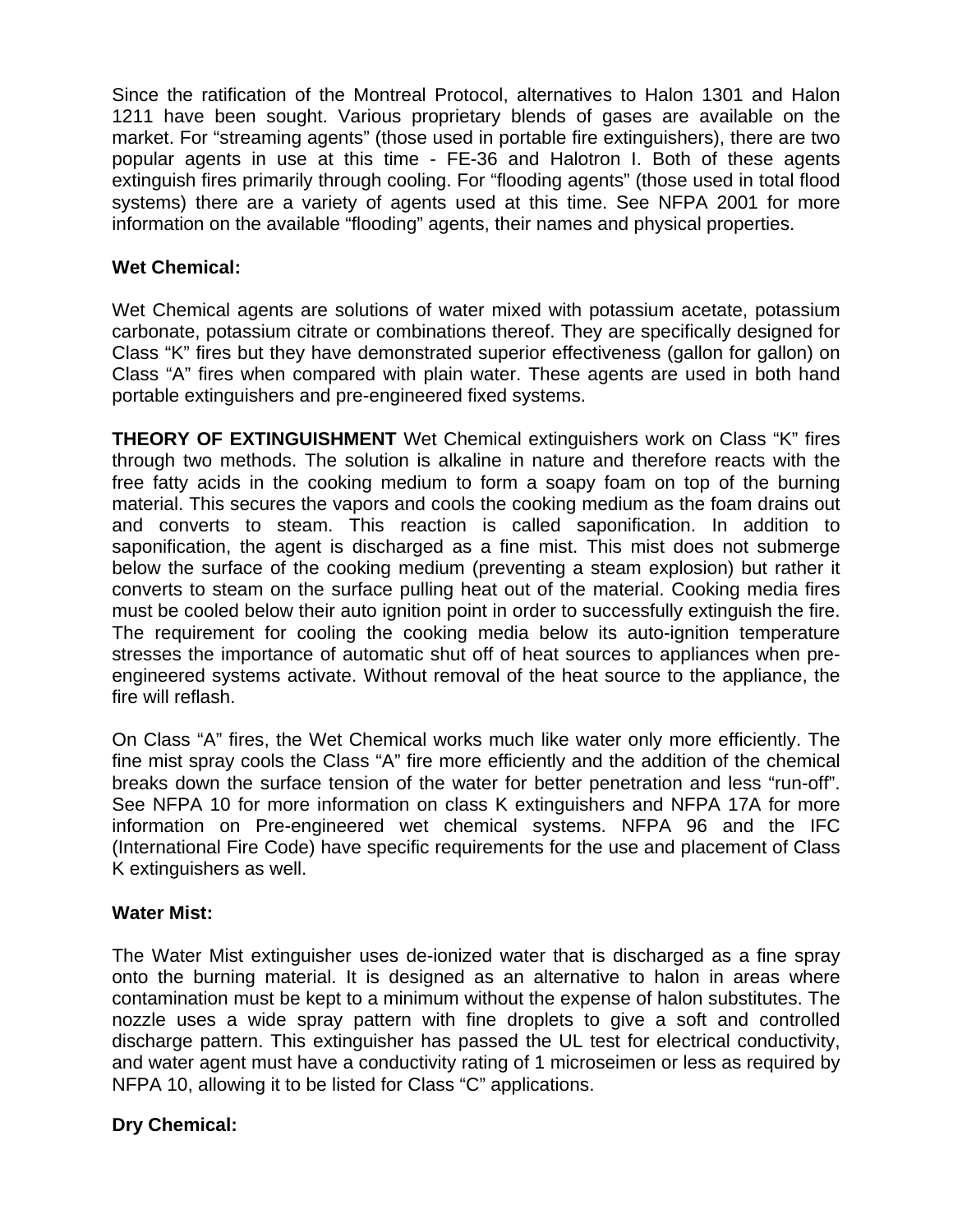Since the ratification of the Montreal Protocol, alternatives to Halon 1301 and Halon 1211 have been sought. Various proprietary blends of gases are available on the market. For "streaming agents" (those used in portable fire extinguishers), there are two popular agents in use at this time - FE-36 and Halotron I. Both of these agents extinguish fires primarily through cooling. For "flooding agents" (those used in total flood systems) there are a variety of agents used at this time. See NFPA 2001 for more information on the available "flooding" agents, their names and physical properties.

# **Wet Chemical:**

Wet Chemical agents are solutions of water mixed with potassium acetate, potassium carbonate, potassium citrate or combinations thereof. They are specifically designed for Class "K" fires but they have demonstrated superior effectiveness (gallon for gallon) on Class "A" fires when compared with plain water. These agents are used in both hand portable extinguishers and pre-engineered fixed systems.

**THEORY OF EXTINGUISHMENT** Wet Chemical extinguishers work on Class "K" fires through two methods. The solution is alkaline in nature and therefore reacts with the free fatty acids in the cooking medium to form a soapy foam on top of the burning material. This secures the vapors and cools the cooking medium as the foam drains out and converts to steam. This reaction is called saponification. In addition to saponification, the agent is discharged as a fine mist. This mist does not submerge below the surface of the cooking medium (preventing a steam explosion) but rather it converts to steam on the surface pulling heat out of the material. Cooking media fires must be cooled below their auto ignition point in order to successfully extinguish the fire. The requirement for cooling the cooking media below its auto-ignition temperature stresses the importance of automatic shut off of heat sources to appliances when preengineered systems activate. Without removal of the heat source to the appliance, the fire will reflash.

On Class "A" fires, the Wet Chemical works much like water only more efficiently. The fine mist spray cools the Class "A" fire more efficiently and the addition of the chemical breaks down the surface tension of the water for better penetration and less "run-off". See NFPA 10 for more information on class K extinguishers and NFPA 17A for more information on Pre-engineered wet chemical systems. NFPA 96 and the IFC (International Fire Code) have specific requirements for the use and placement of Class K extinguishers as well.

# **Water Mist:**

The Water Mist extinguisher uses de-ionized water that is discharged as a fine spray onto the burning material. It is designed as an alternative to halon in areas where contamination must be kept to a minimum without the expense of halon substitutes. The nozzle uses a wide spray pattern with fine droplets to give a soft and controlled discharge pattern. This extinguisher has passed the UL test for electrical conductivity, and water agent must have a conductivity rating of 1 microseimen or less as required by NFPA 10, allowing it to be listed for Class "C" applications.

# **Dry Chemical:**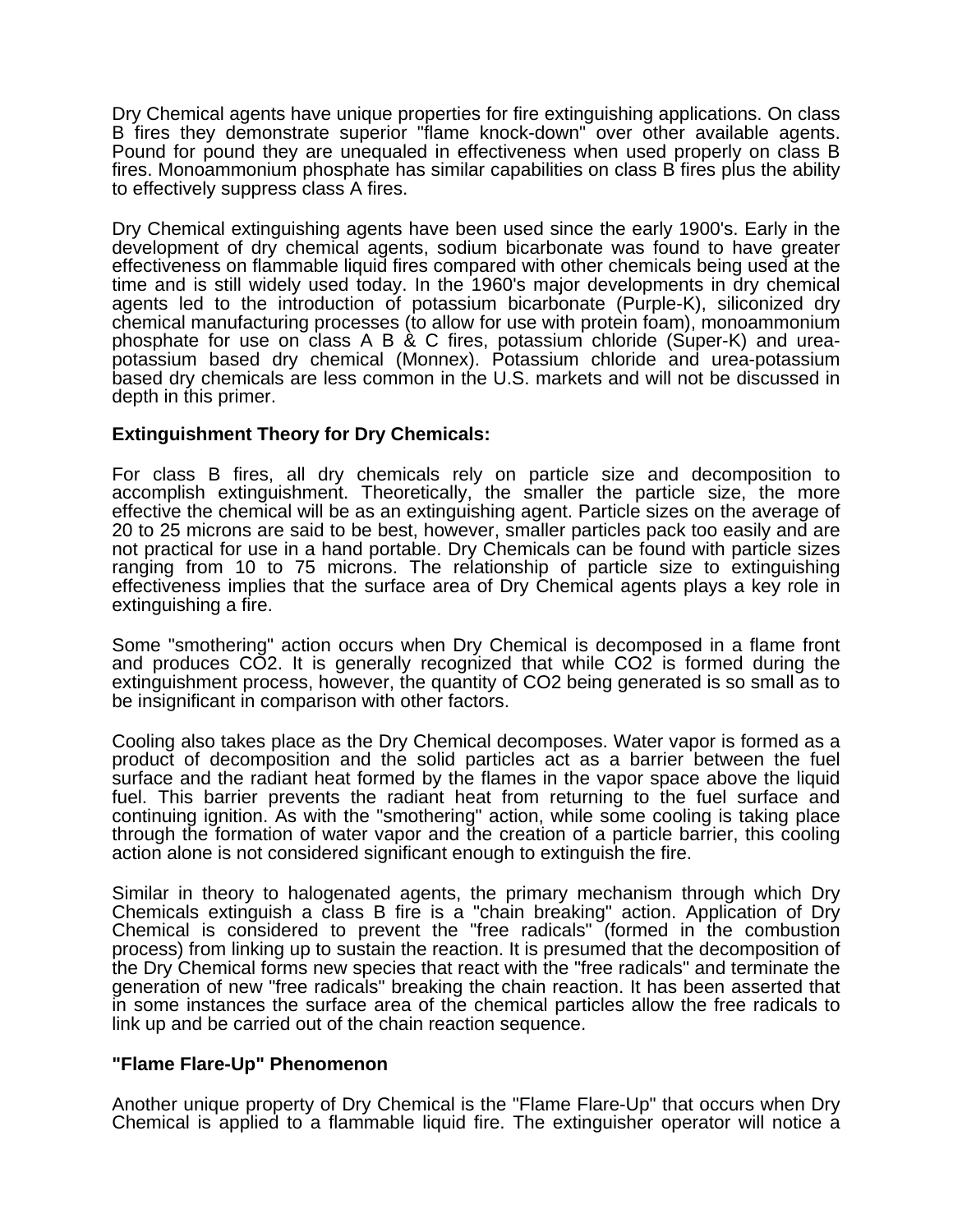Dry Chemical agents have unique properties for fire extinguishing applications. On class B fires they demonstrate superior "flame knock-down" over other available agents. Pound for pound they are unequaled in effectiveness when used properly on class B fires. Monoammonium phosphate has similar capabilities on class B fires plus the ability to effectively suppress class A fires.

Dry Chemical extinguishing agents have been used since the early 1900's. Early in the development of dry chemical agents, sodium bicarbonate was found to have greater effectiveness on flammable liquid fires compared with other chemicals being used at the time and is still widely used today. In the 1960's major developments in dry chemical agents led to the introduction of potassium bicarbonate (Purple-K), siliconized dry chemical manufacturing processes (to allow for use with protein foam), monoammonium phosphate for use on class A B & C fires, potassium chloride (Super-K) and ureapotassium based dry chemical (Monnex). Potassium chloride and urea-potassium based dry chemicals are less common in the U.S. markets and will not be discussed in depth in this primer.

#### **Extinguishment Theory for Dry Chemicals:**

For class B fires, all dry chemicals rely on particle size and decomposition to accomplish extinguishment. Theoretically, the smaller the particle size, the more effective the chemical will be as an extinguishing agent. Particle sizes on the average of 20 to 25 microns are said to be best, however, smaller particles pack too easily and are not practical for use in a hand portable. Dry Chemicals can be found with particle sizes ranging from 10 to 75 microns. The relationship of particle size to extinguishing effectiveness implies that the surface area of Dry Chemical agents plays a key role in extinguishing a fire.

Some "smothering" action occurs when Dry Chemical is decomposed in a flame front and produces CO2. It is generally recognized that while CO2 is formed during the extinguishment process, however, the quantity of CO2 being generated is so small as to be insignificant in comparison with other factors.

Cooling also takes place as the Dry Chemical decomposes. Water vapor is formed as a product of decomposition and the solid particles act as a barrier between the fuel surface and the radiant heat formed by the flames in the vapor space above the liquid fuel. This barrier prevents the radiant heat from returning to the fuel surface and continuing ignition. As with the "smothering" action, while some cooling is taking place through the formation of water vapor and the creation of a particle barrier, this cooling action alone is not considered significant enough to extinguish the fire.

Similar in theory to halogenated agents, the primary mechanism through which Dry Chemicals extinguish a class B fire is a "chain breaking" action. Application of Dry Chemical is considered to prevent the "free radicals" (formed in the combustion process) from linking up to sustain the reaction. It is presumed that the decomposition of the Dry Chemical forms new species that react with the "free radicals" and terminate the generation of new "free radicals" breaking the chain reaction. It has been asserted that in some instances the surface area of the chemical particles allow the free radicals to link up and be carried out of the chain reaction sequence.

#### **"Flame Flare-Up" Phenomenon**

Another unique property of Dry Chemical is the "Flame Flare-Up" that occurs when Dry Chemical is applied to a flammable liquid fire. The extinguisher operator will notice a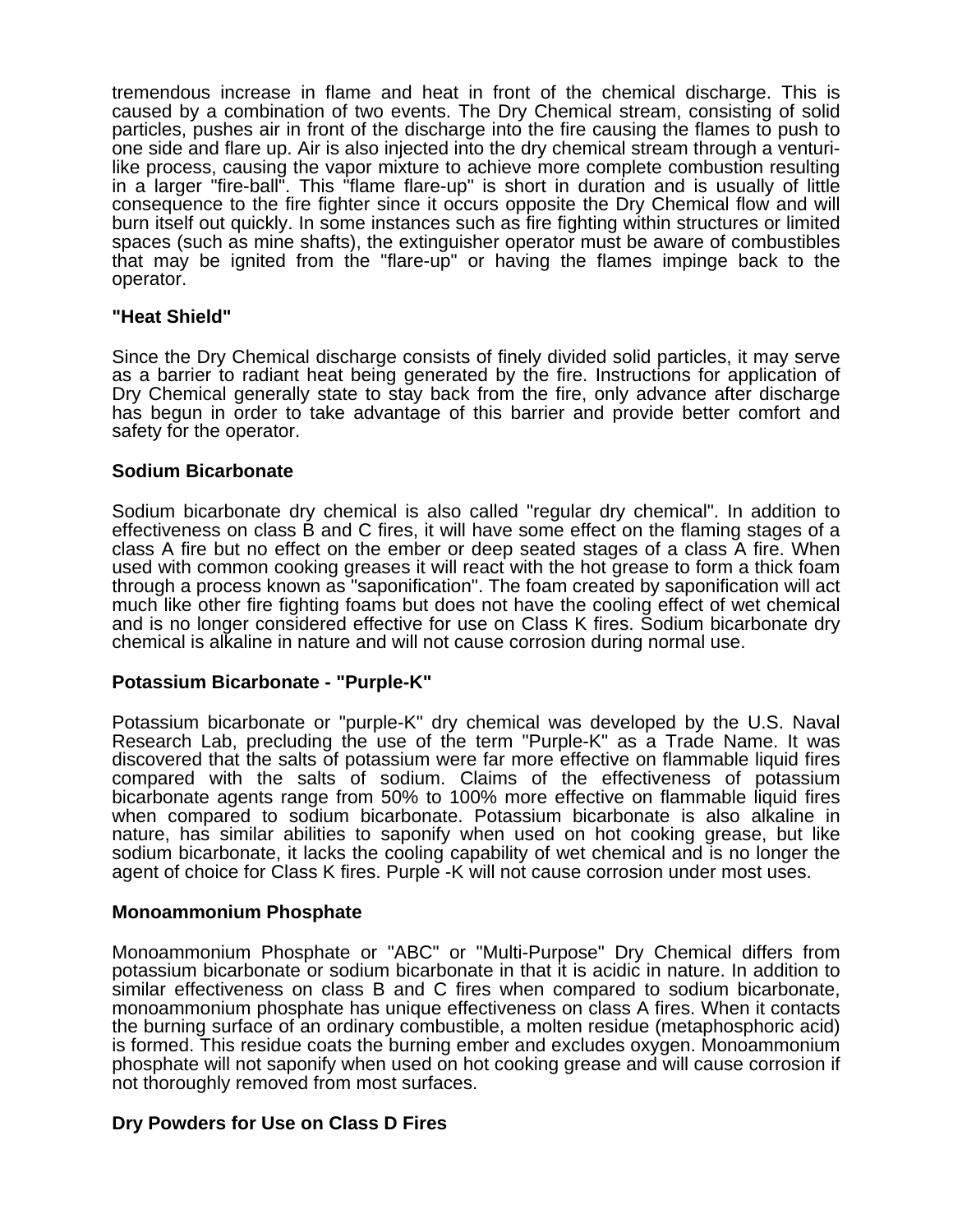tremendous increase in flame and heat in front of the chemical discharge. This is caused by a combination of two events. The Dry Chemical stream, consisting of solid particles, pushes air in front of the discharge into the fire causing the flames to push to one side and flare up. Air is also injected into the dry chemical stream through a venturilike process, causing the vapor mixture to achieve more complete combustion resulting in a larger "fire-ball". This "flame flare-up" is short in duration and is usually of little consequence to the fire fighter since it occurs opposite the Dry Chemical flow and will burn itself out quickly. In some instances such as fire fighting within structures or limited spaces (such as mine shafts), the extinguisher operator must be aware of combustibles that may be ignited from the "flare-up" or having the flames impinge back to the operator.

#### **"Heat Shield"**

Since the Dry Chemical discharge consists of finely divided solid particles, it may serve as a barrier to radiant heat being generated by the fire. Instructions for application of Dry Chemical generally state to stay back from the fire, only advance after discharge has begun in order to take advantage of this barrier and provide better comfort and safety for the operator.

#### **Sodium Bicarbonate**

Sodium bicarbonate dry chemical is also called "regular dry chemical". In addition to effectiveness on class B and C fires, it will have some effect on the flaming stages of a class A fire but no effect on the ember or deep seated stages of a class A fire. When used with common cooking greases it will react with the hot grease to form a thick foam through a process known as "saponification". The foam created by saponification will act much like other fire fighting foams but does not have the cooling effect of wet chemical and is no longer considered effective for use on Class K fires. Sodium bicarbonate dry chemical is alkaline in nature and will not cause corrosion during normal use.

#### **Potassium Bicarbonate - "Purple-K"**

Potassium bicarbonate or "purple-K" dry chemical was developed by the U.S. Naval Research Lab, precluding the use of the term "Purple-K" as a Trade Name. It was discovered that the salts of potassium were far more effective on flammable liquid fires compared with the salts of sodium. Claims of the effectiveness of potassium bicarbonate agents range from 50% to 100% more effective on flammable liquid fires when compared to sodium bicarbonate. Potassium bicarbonate is also alkaline in nature, has similar abilities to saponify when used on hot cooking grease, but like sodium bicarbonate, it lacks the cooling capability of wet chemical and is no longer the agent of choice for Class K fires. Purple -K will not cause corrosion under most uses.

#### **Monoammonium Phosphate**

Monoammonium Phosphate or "ABC" or "Multi-Purpose" Dry Chemical differs from potassium bicarbonate or sodium bicarbonate in that it is acidic in nature. In addition to similar effectiveness on class B and C fires when compared to sodium bicarbonate, monoammonium phosphate has unique effectiveness on class A fires. When it contacts the burning surface of an ordinary combustible, a molten residue (metaphosphoric acid) is formed. This residue coats the burning ember and excludes oxygen. Monoammonium phosphate will not saponify when used on hot cooking grease and will cause corrosion if not thoroughly removed from most surfaces.

#### **Dry Powders for Use on Class D Fires**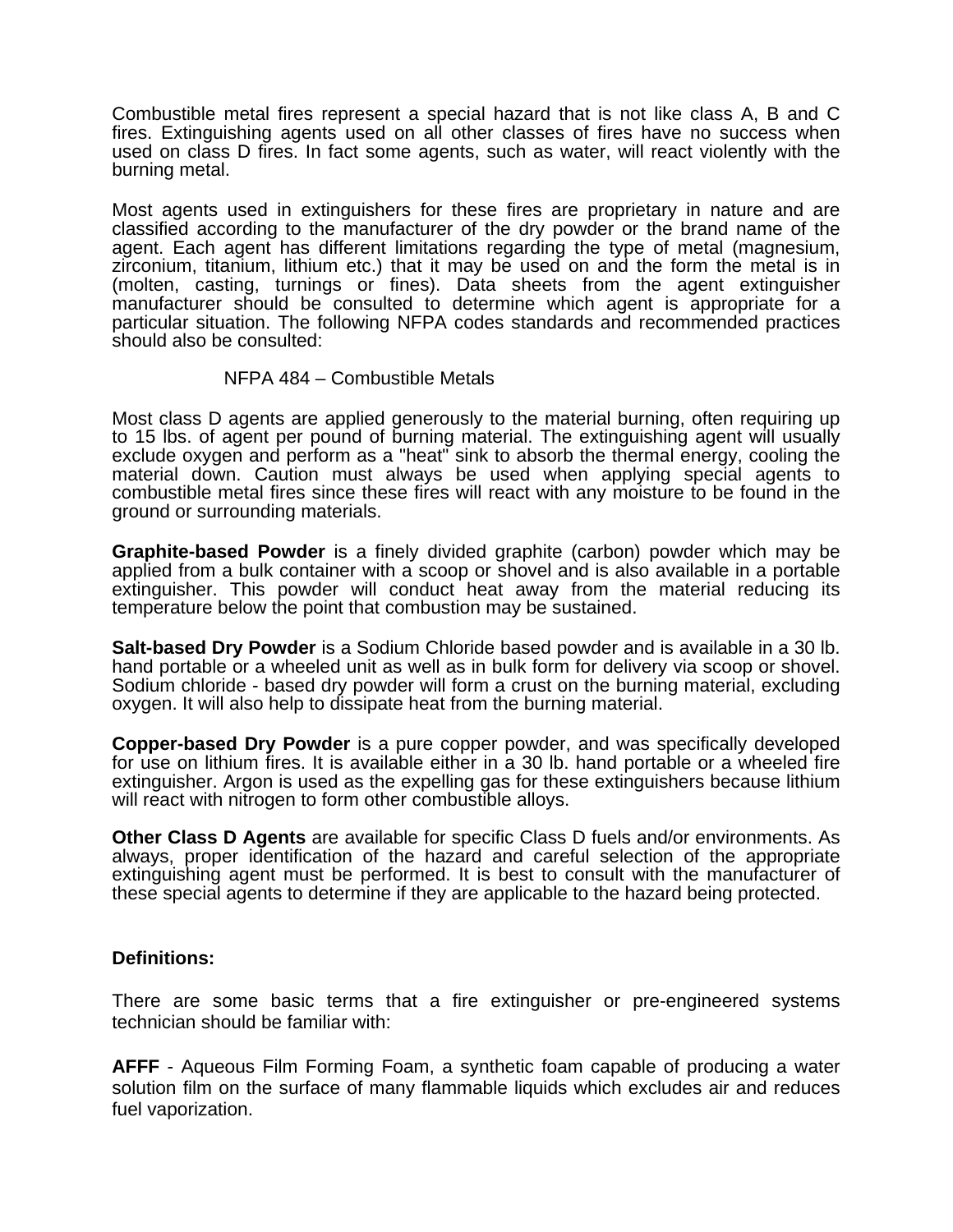Combustible metal fires represent a special hazard that is not like class A, B and C fires. Extinguishing agents used on all other classes of fires have no success when used on class D fires. In fact some agents, such as water, will react violently with the burning metal.

Most agents used in extinguishers for these fires are proprietary in nature and are classified according to the manufacturer of the dry powder or the brand name of the agent. Each agent has different limitations regarding the type of metal (magnesium, zirconium, titanium, lithium etc.) that it may be used on and the form the metal is in (molten, casting, turnings or fines). Data sheets from the agent extinguisher manufacturer should be consulted to determine which agent is appropriate for a particular situation. The following NFPA codes standards and recommended practices should also be consulted:

#### NFPA 484 – Combustible Metals

Most class D agents are applied generously to the material burning, often requiring up to 15 lbs. of agent per pound of burning material. The extinguishing agent will usually exclude oxygen and perform as a "heat" sink to absorb the thermal energy, cooling the material down. Caution must always be used when applying special agents to combustible metal fires since these fires will react with any moisture to be found in the ground or surrounding materials.

**Graphite-based Powder** is a finely divided graphite (carbon) powder which may be applied from a bulk container with a scoop or shovel and is also available in a portable extinguisher. This powder will conduct heat away from the material reducing its temperature below the point that combustion may be sustained.

**Salt-based Dry Powder** is a Sodium Chloride based powder and is available in a 30 lb. hand portable or a wheeled unit as well as in bulk form for delivery via scoop or shovel. Sodium chloride - based dry powder will form a crust on the burning material, excluding oxygen. It will also help to dissipate heat from the burning material.

**Copper-based Dry Powder** is a pure copper powder, and was specifically developed for use on lithium fires. It is available either in a 30 lb. hand portable or a wheeled fire extinguisher. Argon is used as the expelling gas for these extinguishers because lithium will react with nitrogen to form other combustible alloys.

**Other Class D Agents** are available for specific Class D fuels and/or environments. As always, proper identification of the hazard and careful selection of the appropriate extinguishing agent must be performed. It is best to consult with the manufacturer of these special agents to determine if they are applicable to the hazard being protected.

# **Definitions:**

There are some basic terms that a fire extinguisher or pre-engineered systems technician should be familiar with:

**AFFF** - Aqueous Film Forming Foam, a synthetic foam capable of producing a water solution film on the surface of many flammable liquids which excludes air and reduces fuel vaporization.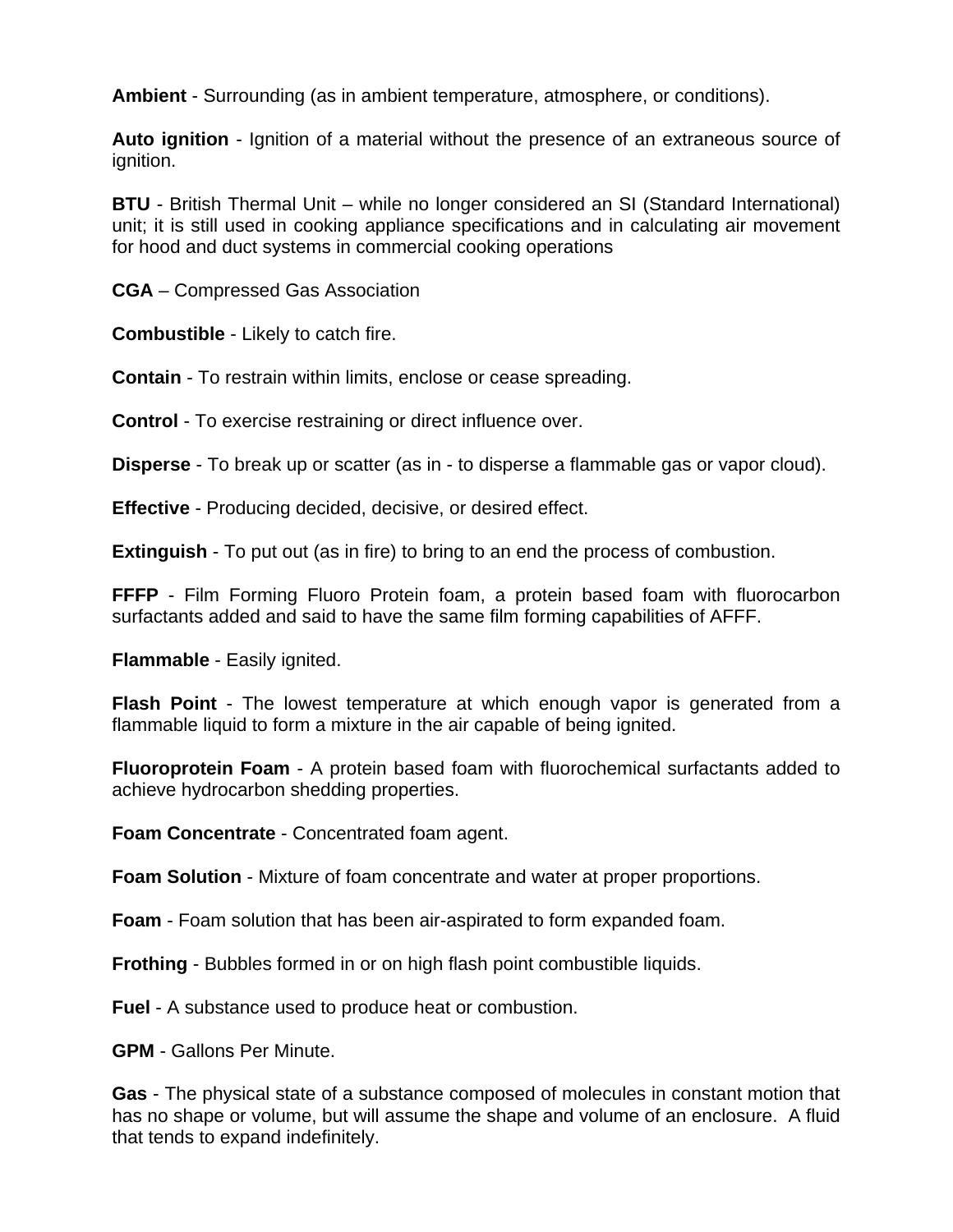**Ambient** - Surrounding (as in ambient temperature, atmosphere, or conditions).

**Auto ignition** - Ignition of a material without the presence of an extraneous source of ignition.

**BTU** - British Thermal Unit – while no longer considered an SI (Standard International) unit; it is still used in cooking appliance specifications and in calculating air movement for hood and duct systems in commercial cooking operations

**CGA** – Compressed Gas Association

**Combustible** - Likely to catch fire.

**Contain** - To restrain within limits, enclose or cease spreading.

**Control** - To exercise restraining or direct influence over.

**Disperse** - To break up or scatter (as in - to disperse a flammable gas or vapor cloud).

**Effective** - Producing decided, decisive, or desired effect.

**Extinguish** - To put out (as in fire) to bring to an end the process of combustion.

**FFFP** - Film Forming Fluoro Protein foam, a protein based foam with fluorocarbon surfactants added and said to have the same film forming capabilities of AFFF.

**Flammable** - Easily ignited.

**Flash Point** - The lowest temperature at which enough vapor is generated from a flammable liquid to form a mixture in the air capable of being ignited.

**Fluoroprotein Foam** - A protein based foam with fluorochemical surfactants added to achieve hydrocarbon shedding properties.

**Foam Concentrate** - Concentrated foam agent.

**Foam Solution** - Mixture of foam concentrate and water at proper proportions.

**Foam** - Foam solution that has been air-aspirated to form expanded foam.

**Frothing** - Bubbles formed in or on high flash point combustible liquids.

**Fuel** - A substance used to produce heat or combustion.

**GPM** - Gallons Per Minute.

**Gas** - The physical state of a substance composed of molecules in constant motion that has no shape or volume, but will assume the shape and volume of an enclosure. A fluid that tends to expand indefinitely.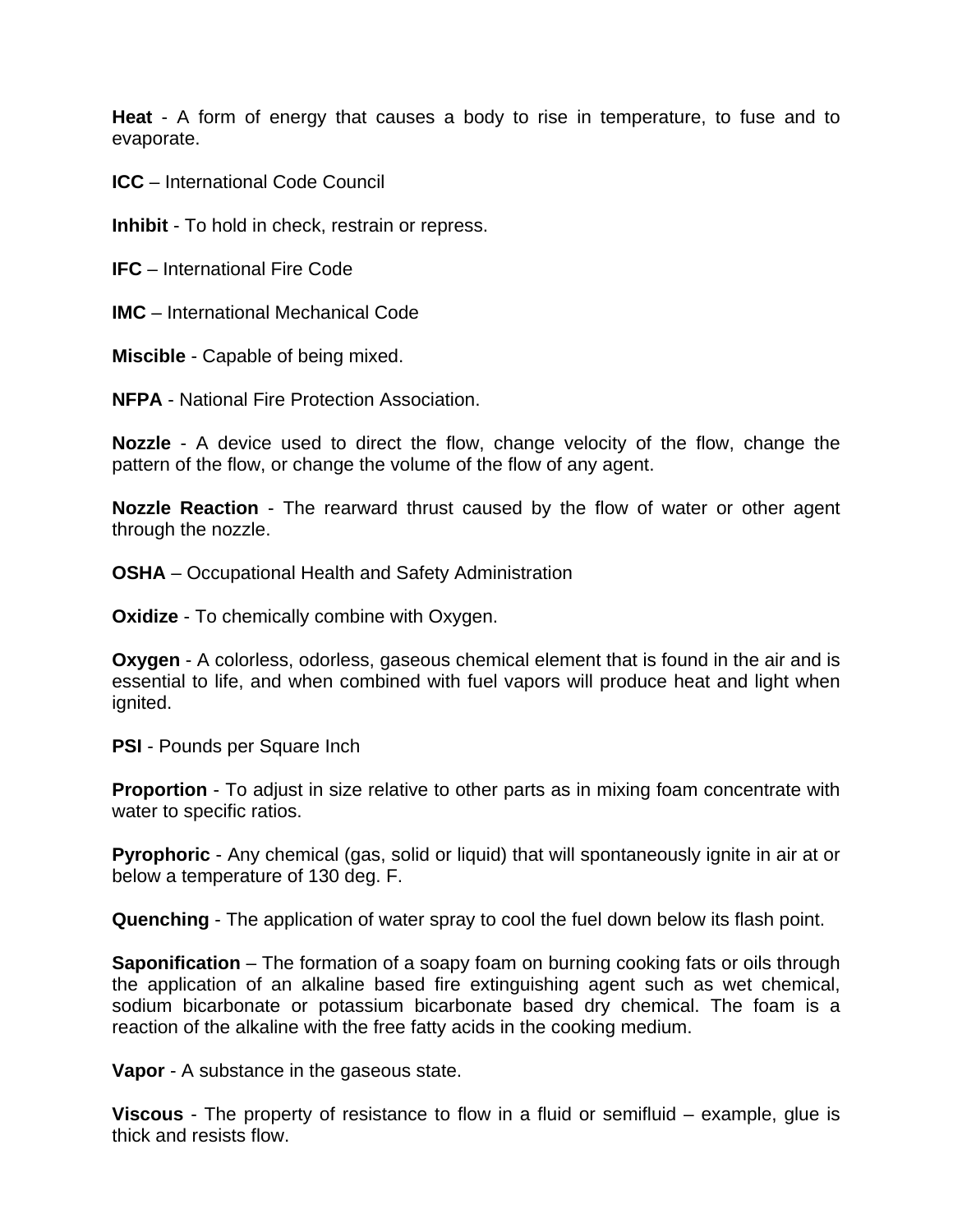**Heat** - A form of energy that causes a body to rise in temperature, to fuse and to evaporate.

**ICC** – International Code Council

**Inhibit** - To hold in check, restrain or repress.

**IFC** – International Fire Code

**IMC** – International Mechanical Code

**Miscible** - Capable of being mixed.

**NFPA** - National Fire Protection Association.

**Nozzle** - A device used to direct the flow, change velocity of the flow, change the pattern of the flow, or change the volume of the flow of any agent.

**Nozzle Reaction** - The rearward thrust caused by the flow of water or other agent through the nozzle.

**OSHA** – Occupational Health and Safety Administration

**Oxidize** - To chemically combine with Oxygen.

**Oxygen** - A colorless, odorless, gaseous chemical element that is found in the air and is essential to life, and when combined with fuel vapors will produce heat and light when ignited.

**PSI** - Pounds per Square Inch

**Proportion** - To adjust in size relative to other parts as in mixing foam concentrate with water to specific ratios.

**Pyrophoric** - Any chemical (gas, solid or liquid) that will spontaneously ignite in air at or below a temperature of 130 deg. F.

**Quenching** - The application of water spray to cool the fuel down below its flash point.

**Saponification** – The formation of a soapy foam on burning cooking fats or oils through the application of an alkaline based fire extinguishing agent such as wet chemical, sodium bicarbonate or potassium bicarbonate based dry chemical. The foam is a reaction of the alkaline with the free fatty acids in the cooking medium.

**Vapor** - A substance in the gaseous state.

**Viscous** - The property of resistance to flow in a fluid or semifluid – example, glue is thick and resists flow.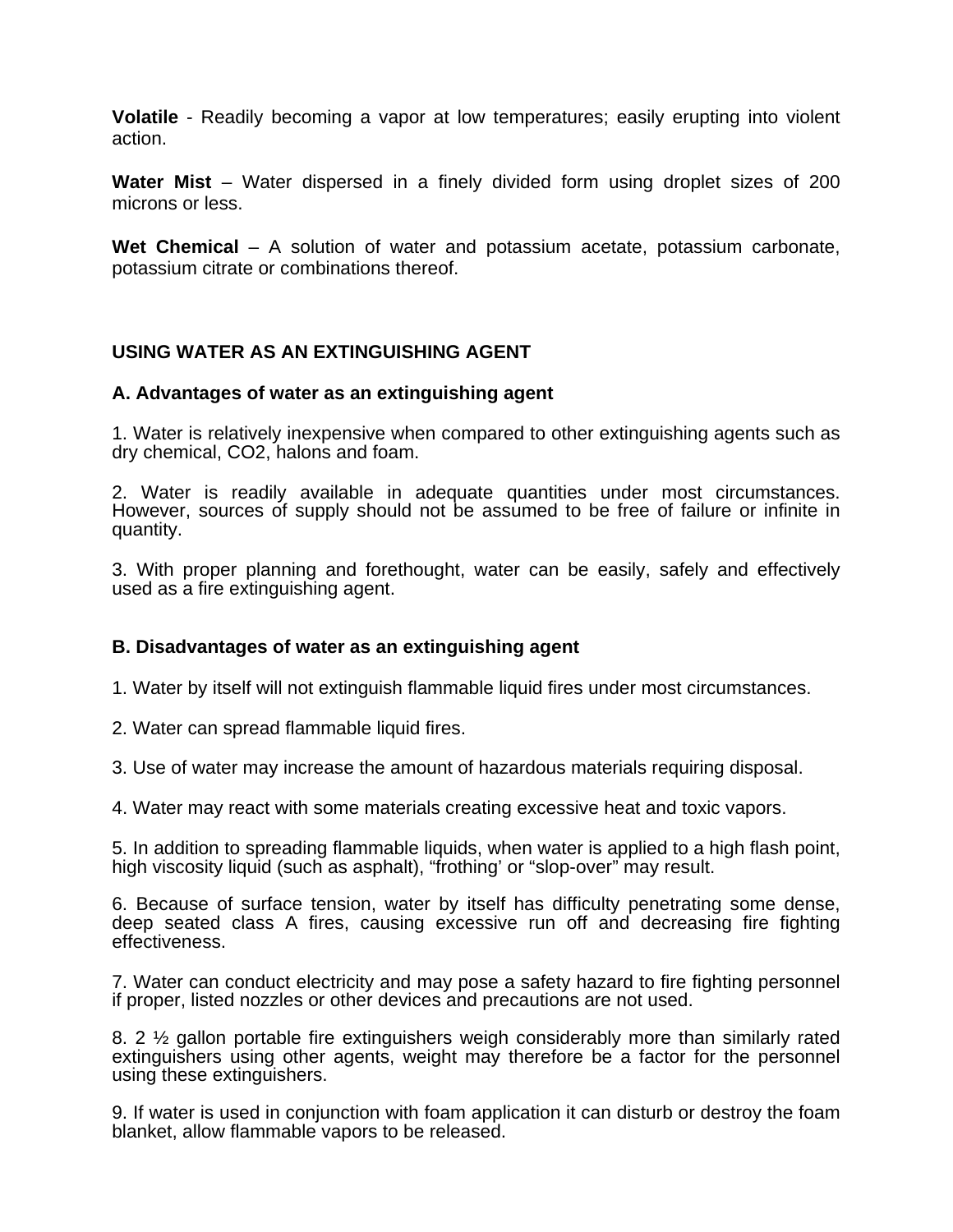**Volatile** - Readily becoming a vapor at low temperatures; easily erupting into violent action.

**Water Mist** – Water dispersed in a finely divided form using droplet sizes of 200 microns or less.

**Wet Chemical** – A solution of water and potassium acetate, potassium carbonate, potassium citrate or combinations thereof.

# **USING WATER AS AN EXTINGUISHING AGENT**

#### **A. Advantages of water as an extinguishing agent**

1. Water is relatively inexpensive when compared to other extinguishing agents such as dry chemical, CO2, halons and foam.

2. Water is readily available in adequate quantities under most circumstances. However, sources of supply should not be assumed to be free of failure or infinite in quantity.

3. With proper planning and forethought, water can be easily, safely and effectively used as a fire extinguishing agent.

# **B. Disadvantages of water as an extinguishing agent**

1. Water by itself will not extinguish flammable liquid fires under most circumstances.

2. Water can spread flammable liquid fires.

3. Use of water may increase the amount of hazardous materials requiring disposal.

4. Water may react with some materials creating excessive heat and toxic vapors.

5. In addition to spreading flammable liquids, when water is applied to a high flash point, high viscosity liquid (such as asphalt), "frothing' or "slop-over" may result.

6. Because of surface tension, water by itself has difficulty penetrating some dense, deep seated class A fires, causing excessive run off and decreasing fire fighting effectiveness.

7. Water can conduct electricity and may pose a safety hazard to fire fighting personnel if proper, listed nozzles or other devices and precautions are not used.

8. 2 ½ gallon portable fire extinguishers weigh considerably more than similarly rated extinguishers using other agents, weight may therefore be a factor for the personnel using these extinguishers.

9. If water is used in conjunction with foam application it can disturb or destroy the foam blanket, allow flammable vapors to be released.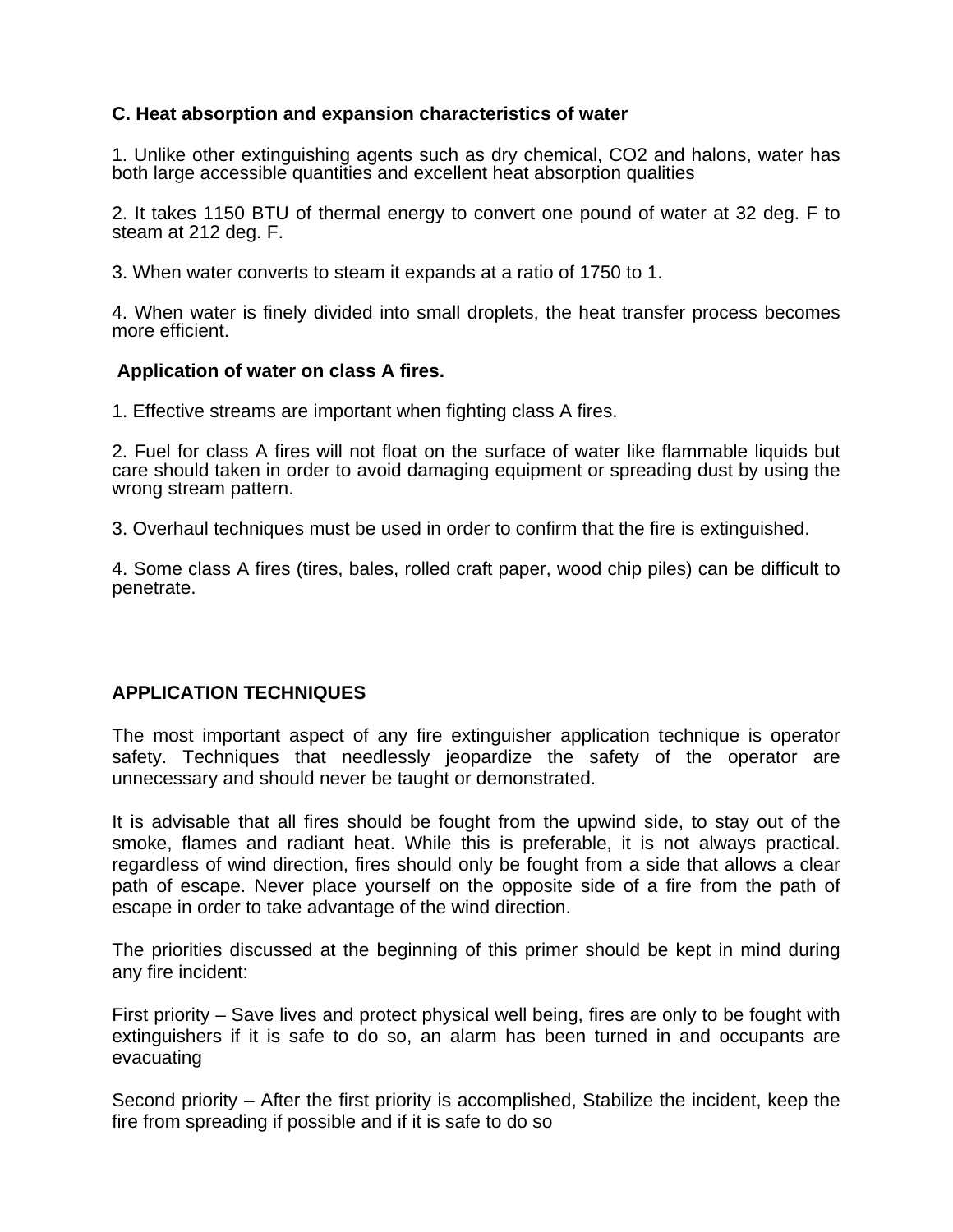# **C. Heat absorption and expansion characteristics of water**

1. Unlike other extinguishing agents such as dry chemical, CO2 and halons, water has both large accessible quantities and excellent heat absorption qualities

2. It takes 1150 BTU of thermal energy to convert one pound of water at 32 deg. F to steam at 212 deg. F.

3. When water converts to steam it expands at a ratio of 1750 to 1.

4. When water is finely divided into small droplets, the heat transfer process becomes more efficient.

#### **Application of water on class A fires.**

1. Effective streams are important when fighting class A fires.

2. Fuel for class A fires will not float on the surface of water like flammable liquids but care should taken in order to avoid damaging equipment or spreading dust by using the wrong stream pattern.

3. Overhaul techniques must be used in order to confirm that the fire is extinguished.

4. Some class A fires (tires, bales, rolled craft paper, wood chip piles) can be difficult to penetrate.

#### **APPLICATION TECHNIQUES**

The most important aspect of any fire extinguisher application technique is operator safety. Techniques that needlessly jeopardize the safety of the operator are unnecessary and should never be taught or demonstrated.

It is advisable that all fires should be fought from the upwind side, to stay out of the smoke, flames and radiant heat. While this is preferable, it is not always practical. regardless of wind direction, fires should only be fought from a side that allows a clear path of escape. Never place yourself on the opposite side of a fire from the path of escape in order to take advantage of the wind direction.

The priorities discussed at the beginning of this primer should be kept in mind during any fire incident:

First priority – Save lives and protect physical well being, fires are only to be fought with extinguishers if it is safe to do so, an alarm has been turned in and occupants are evacuating

Second priority – After the first priority is accomplished, Stabilize the incident, keep the fire from spreading if possible and if it is safe to do so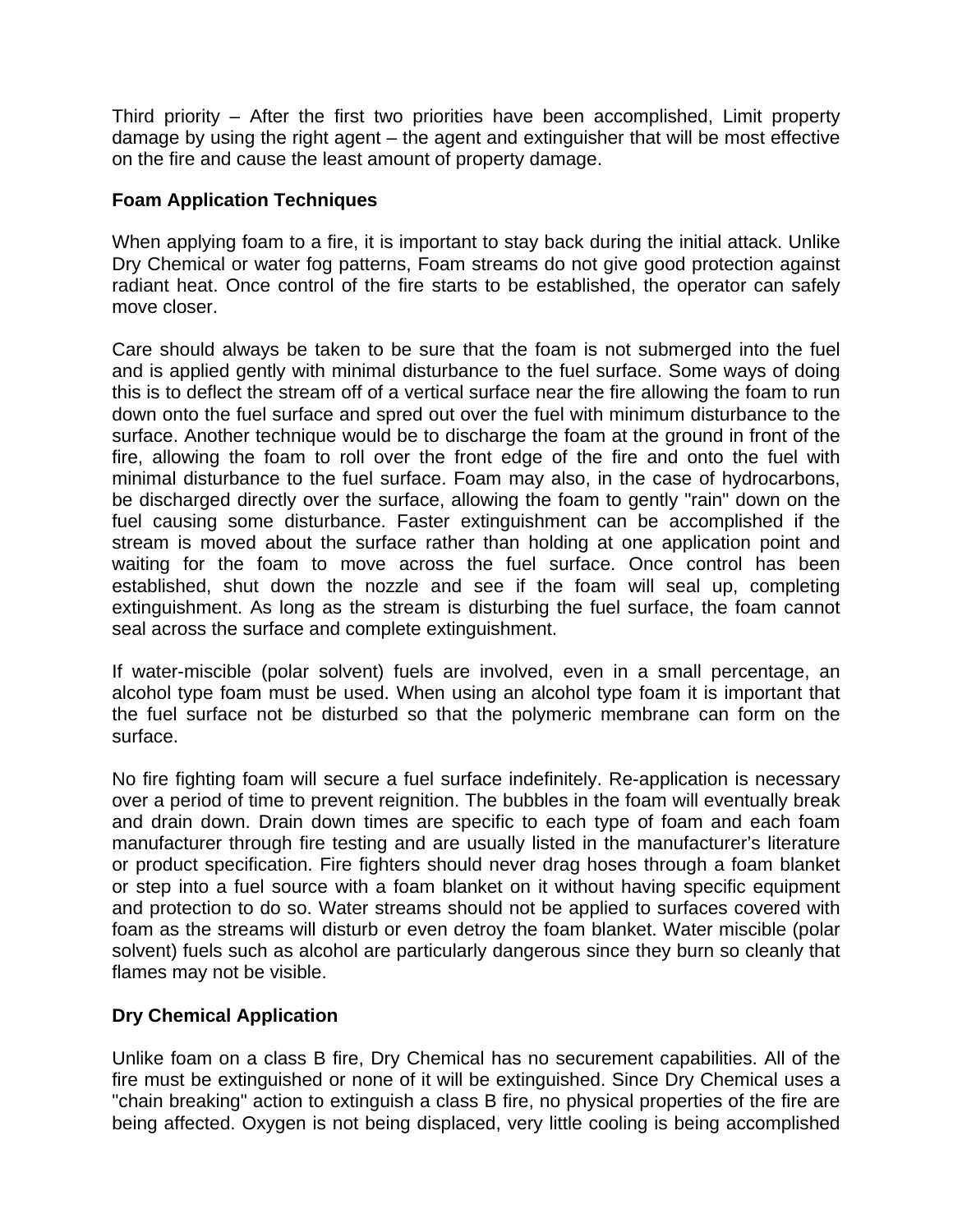Third priority – After the first two priorities have been accomplished, Limit property damage by using the right agent – the agent and extinguisher that will be most effective on the fire and cause the least amount of property damage.

# **Foam Application Techniques**

When applying foam to a fire, it is important to stay back during the initial attack. Unlike Dry Chemical or water fog patterns, Foam streams do not give good protection against radiant heat. Once control of the fire starts to be established, the operator can safely move closer.

Care should always be taken to be sure that the foam is not submerged into the fuel and is applied gently with minimal disturbance to the fuel surface. Some ways of doing this is to deflect the stream off of a vertical surface near the fire allowing the foam to run down onto the fuel surface and spred out over the fuel with minimum disturbance to the surface. Another technique would be to discharge the foam at the ground in front of the fire, allowing the foam to roll over the front edge of the fire and onto the fuel with minimal disturbance to the fuel surface. Foam may also, in the case of hydrocarbons, be discharged directly over the surface, allowing the foam to gently "rain" down on the fuel causing some disturbance. Faster extinguishment can be accomplished if the stream is moved about the surface rather than holding at one application point and waiting for the foam to move across the fuel surface. Once control has been established, shut down the nozzle and see if the foam will seal up, completing extinguishment. As long as the stream is disturbing the fuel surface, the foam cannot seal across the surface and complete extinguishment.

If water-miscible (polar solvent) fuels are involved, even in a small percentage, an alcohol type foam must be used. When using an alcohol type foam it is important that the fuel surface not be disturbed so that the polymeric membrane can form on the surface.

No fire fighting foam will secure a fuel surface indefinitely. Re-application is necessary over a period of time to prevent reignition. The bubbles in the foam will eventually break and drain down. Drain down times are specific to each type of foam and each foam manufacturer through fire testing and are usually listed in the manufacturer's literature or product specification. Fire fighters should never drag hoses through a foam blanket or step into a fuel source with a foam blanket on it without having specific equipment and protection to do so. Water streams should not be applied to surfaces covered with foam as the streams will disturb or even detroy the foam blanket. Water miscible (polar solvent) fuels such as alcohol are particularly dangerous since they burn so cleanly that flames may not be visible.

# **Dry Chemical Application**

Unlike foam on a class B fire, Dry Chemical has no securement capabilities. All of the fire must be extinguished or none of it will be extinguished. Since Dry Chemical uses a "chain breaking" action to extinguish a class B fire, no physical properties of the fire are being affected. Oxygen is not being displaced, very little cooling is being accomplished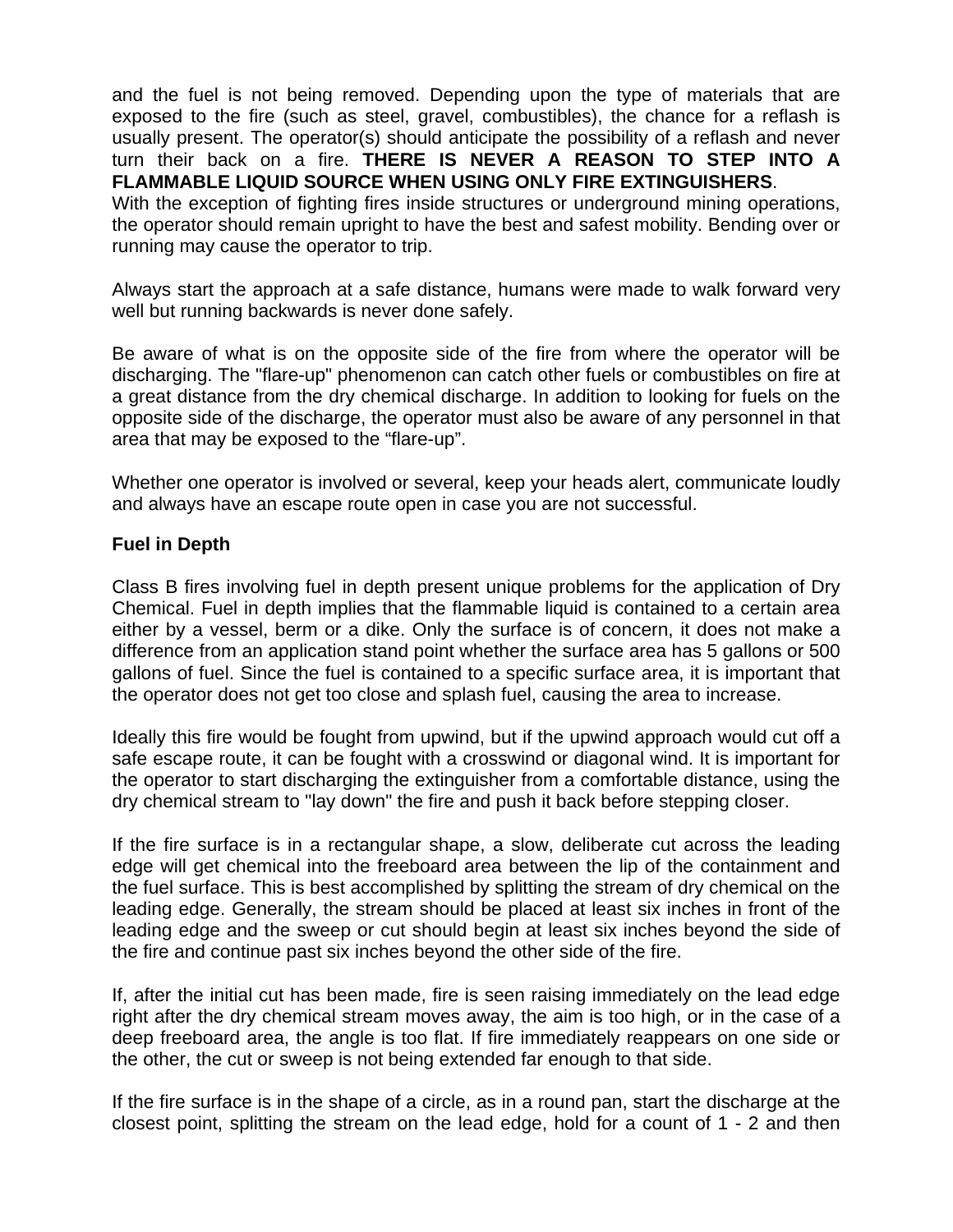and the fuel is not being removed. Depending upon the type of materials that are exposed to the fire (such as steel, gravel, combustibles), the chance for a reflash is usually present. The operator(s) should anticipate the possibility of a reflash and never turn their back on a fire. **THERE IS NEVER A REASON TO STEP INTO A FLAMMABLE LIQUID SOURCE WHEN USING ONLY FIRE EXTINGUISHERS**.

With the exception of fighting fires inside structures or underground mining operations, the operator should remain upright to have the best and safest mobility. Bending over or running may cause the operator to trip.

Always start the approach at a safe distance, humans were made to walk forward very well but running backwards is never done safely.

Be aware of what is on the opposite side of the fire from where the operator will be discharging. The "flare-up" phenomenon can catch other fuels or combustibles on fire at a great distance from the dry chemical discharge. In addition to looking for fuels on the opposite side of the discharge, the operator must also be aware of any personnel in that area that may be exposed to the "flare-up".

Whether one operator is involved or several, keep your heads alert, communicate loudly and always have an escape route open in case you are not successful.

# **Fuel in Depth**

Class B fires involving fuel in depth present unique problems for the application of Dry Chemical. Fuel in depth implies that the flammable liquid is contained to a certain area either by a vessel, berm or a dike. Only the surface is of concern, it does not make a difference from an application stand point whether the surface area has 5 gallons or 500 gallons of fuel. Since the fuel is contained to a specific surface area, it is important that the operator does not get too close and splash fuel, causing the area to increase.

Ideally this fire would be fought from upwind, but if the upwind approach would cut off a safe escape route, it can be fought with a crosswind or diagonal wind. It is important for the operator to start discharging the extinguisher from a comfortable distance, using the dry chemical stream to "lay down" the fire and push it back before stepping closer.

If the fire surface is in a rectangular shape, a slow, deliberate cut across the leading edge will get chemical into the freeboard area between the lip of the containment and the fuel surface. This is best accomplished by splitting the stream of dry chemical on the leading edge. Generally, the stream should be placed at least six inches in front of the leading edge and the sweep or cut should begin at least six inches beyond the side of the fire and continue past six inches beyond the other side of the fire.

If, after the initial cut has been made, fire is seen raising immediately on the lead edge right after the dry chemical stream moves away, the aim is too high, or in the case of a deep freeboard area, the angle is too flat. If fire immediately reappears on one side or the other, the cut or sweep is not being extended far enough to that side.

If the fire surface is in the shape of a circle, as in a round pan, start the discharge at the closest point, splitting the stream on the lead edge, hold for a count of 1 - 2 and then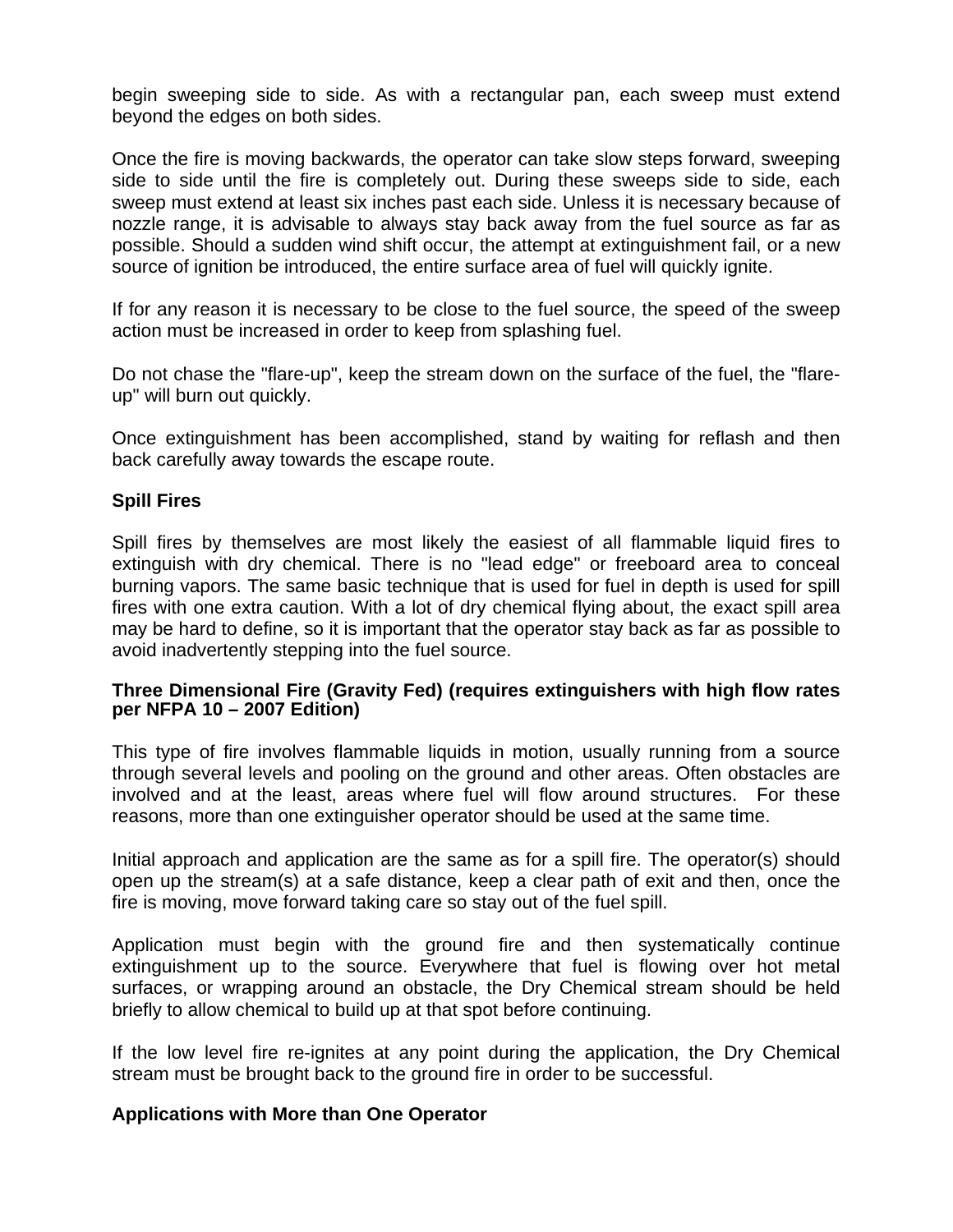begin sweeping side to side. As with a rectangular pan, each sweep must extend beyond the edges on both sides.

Once the fire is moving backwards, the operator can take slow steps forward, sweeping side to side until the fire is completely out. During these sweeps side to side, each sweep must extend at least six inches past each side. Unless it is necessary because of nozzle range, it is advisable to always stay back away from the fuel source as far as possible. Should a sudden wind shift occur, the attempt at extinguishment fail, or a new source of ignition be introduced, the entire surface area of fuel will quickly ignite.

If for any reason it is necessary to be close to the fuel source, the speed of the sweep action must be increased in order to keep from splashing fuel.

Do not chase the "flare-up", keep the stream down on the surface of the fuel, the "flareup" will burn out quickly.

Once extinguishment has been accomplished, stand by waiting for reflash and then back carefully away towards the escape route.

# **Spill Fires**

Spill fires by themselves are most likely the easiest of all flammable liquid fires to extinguish with dry chemical. There is no "lead edge" or freeboard area to conceal burning vapors. The same basic technique that is used for fuel in depth is used for spill fires with one extra caution. With a lot of dry chemical flying about, the exact spill area may be hard to define, so it is important that the operator stay back as far as possible to avoid inadvertently stepping into the fuel source.

#### **Three Dimensional Fire (Gravity Fed) (requires extinguishers with high flow rates per NFPA 10 – 2007 Edition)**

This type of fire involves flammable liquids in motion, usually running from a source through several levels and pooling on the ground and other areas. Often obstacles are involved and at the least, areas where fuel will flow around structures. For these reasons, more than one extinguisher operator should be used at the same time.

Initial approach and application are the same as for a spill fire. The operator(s) should open up the stream(s) at a safe distance, keep a clear path of exit and then, once the fire is moving, move forward taking care so stay out of the fuel spill.

Application must begin with the ground fire and then systematically continue extinguishment up to the source. Everywhere that fuel is flowing over hot metal surfaces, or wrapping around an obstacle, the Dry Chemical stream should be held briefly to allow chemical to build up at that spot before continuing.

If the low level fire re-ignites at any point during the application, the Dry Chemical stream must be brought back to the ground fire in order to be successful.

#### **Applications with More than One Operator**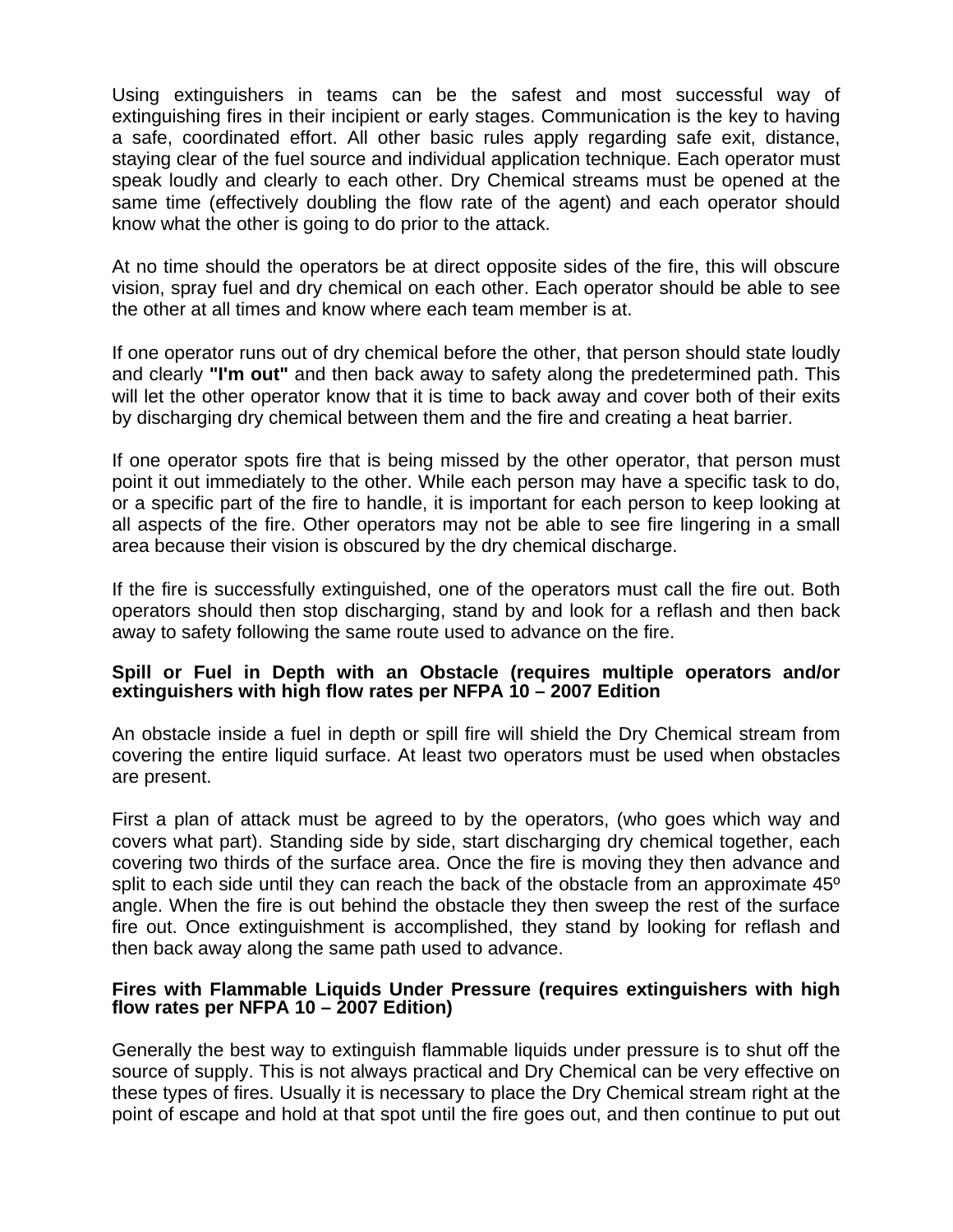Using extinguishers in teams can be the safest and most successful way of extinguishing fires in their incipient or early stages. Communication is the key to having a safe, coordinated effort. All other basic rules apply regarding safe exit, distance, staying clear of the fuel source and individual application technique. Each operator must speak loudly and clearly to each other. Dry Chemical streams must be opened at the same time (effectively doubling the flow rate of the agent) and each operator should know what the other is going to do prior to the attack.

At no time should the operators be at direct opposite sides of the fire, this will obscure vision, spray fuel and dry chemical on each other. Each operator should be able to see the other at all times and know where each team member is at.

If one operator runs out of dry chemical before the other, that person should state loudly and clearly **"I'm out"** and then back away to safety along the predetermined path. This will let the other operator know that it is time to back away and cover both of their exits by discharging dry chemical between them and the fire and creating a heat barrier.

If one operator spots fire that is being missed by the other operator, that person must point it out immediately to the other. While each person may have a specific task to do, or a specific part of the fire to handle, it is important for each person to keep looking at all aspects of the fire. Other operators may not be able to see fire lingering in a small area because their vision is obscured by the dry chemical discharge.

If the fire is successfully extinguished, one of the operators must call the fire out. Both operators should then stop discharging, stand by and look for a reflash and then back away to safety following the same route used to advance on the fire.

#### **Spill or Fuel in Depth with an Obstacle (requires multiple operators and/or extinguishers with high flow rates per NFPA 10 – 2007 Edition**

An obstacle inside a fuel in depth or spill fire will shield the Dry Chemical stream from covering the entire liquid surface. At least two operators must be used when obstacles are present.

First a plan of attack must be agreed to by the operators, (who goes which way and covers what part). Standing side by side, start discharging dry chemical together, each covering two thirds of the surface area. Once the fire is moving they then advance and split to each side until they can reach the back of the obstacle from an approximate  $45^{\circ}$ angle. When the fire is out behind the obstacle they then sweep the rest of the surface fire out. Once extinguishment is accomplished, they stand by looking for reflash and then back away along the same path used to advance.

#### **Fires with Flammable Liquids Under Pressure (requires extinguishers with high flow rates per NFPA 10 – 2007 Edition)**

Generally the best way to extinguish flammable liquids under pressure is to shut off the source of supply. This is not always practical and Dry Chemical can be very effective on these types of fires. Usually it is necessary to place the Dry Chemical stream right at the point of escape and hold at that spot until the fire goes out, and then continue to put out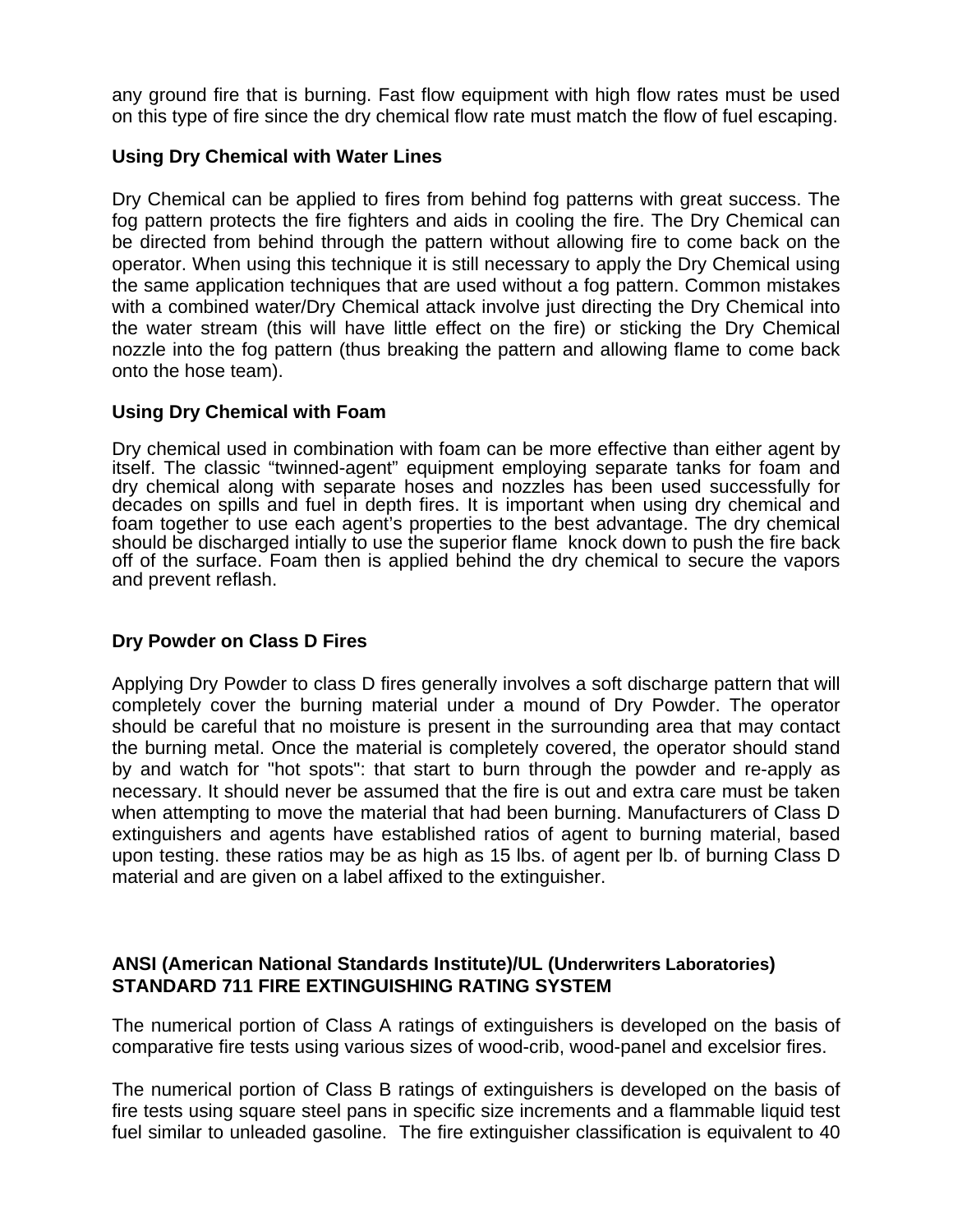any ground fire that is burning. Fast flow equipment with high flow rates must be used on this type of fire since the dry chemical flow rate must match the flow of fuel escaping.

# **Using Dry Chemical with Water Lines**

Dry Chemical can be applied to fires from behind fog patterns with great success. The fog pattern protects the fire fighters and aids in cooling the fire. The Dry Chemical can be directed from behind through the pattern without allowing fire to come back on the operator. When using this technique it is still necessary to apply the Dry Chemical using the same application techniques that are used without a fog pattern. Common mistakes with a combined water/Dry Chemical attack involve just directing the Dry Chemical into the water stream (this will have little effect on the fire) or sticking the Dry Chemical nozzle into the fog pattern (thus breaking the pattern and allowing flame to come back onto the hose team).

# **Using Dry Chemical with Foam**

Dry chemical used in combination with foam can be more effective than either agent by itself. The classic "twinned-agent" equipment employing separate tanks for foam and dry chemical along with separate hoses and nozzles has been used successfully for decades on spills and fuel in depth fires. It is important when using dry chemical and foam together to use each agent's properties to the best advantage. The dry chemical should be discharged intially to use the superior flame knock down to push the fire back off of the surface. Foam then is applied behind the dry chemical to secure the vapors and prevent reflash.

# **Dry Powder on Class D Fires**

Applying Dry Powder to class D fires generally involves a soft discharge pattern that will completely cover the burning material under a mound of Dry Powder. The operator should be careful that no moisture is present in the surrounding area that may contact the burning metal. Once the material is completely covered, the operator should stand by and watch for "hot spots": that start to burn through the powder and re-apply as necessary. It should never be assumed that the fire is out and extra care must be taken when attempting to move the material that had been burning. Manufacturers of Class D extinguishers and agents have established ratios of agent to burning material, based upon testing. these ratios may be as high as 15 lbs. of agent per lb. of burning Class D material and are given on a label affixed to the extinguisher.

# **ANSI (American National Standards Institute)/UL (Underwriters Laboratories) STANDARD 711 FIRE EXTINGUISHING RATING SYSTEM**

The numerical portion of Class A ratings of extinguishers is developed on the basis of comparative fire tests using various sizes of wood-crib, wood-panel and excelsior fires.

The numerical portion of Class B ratings of extinguishers is developed on the basis of fire tests using square steel pans in specific size increments and a flammable liquid test fuel similar to unleaded gasoline. The fire extinguisher classification is equivalent to 40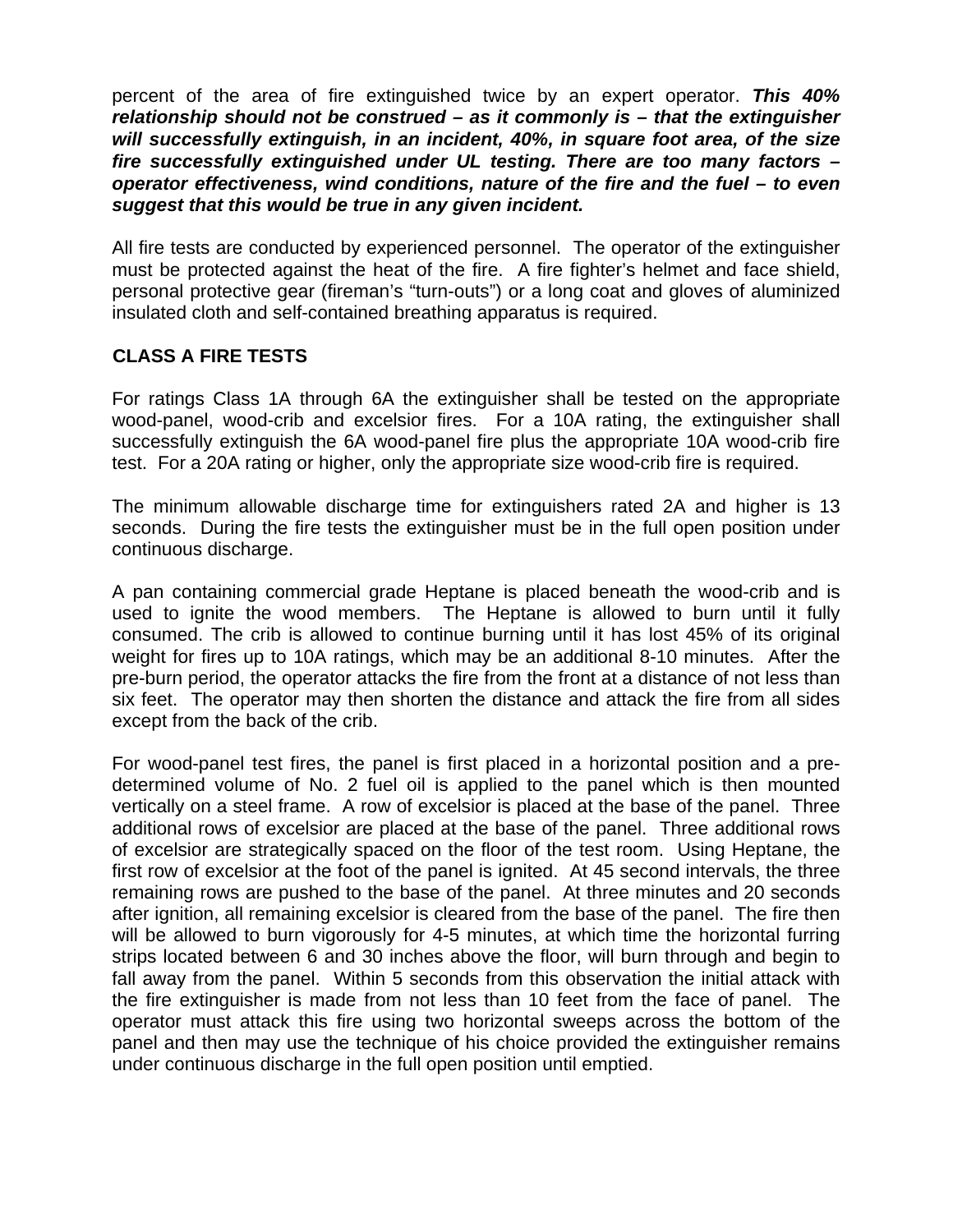percent of the area of fire extinguished twice by an expert operator. *This 40% relationship should not be construed – as it commonly is – that the extinguisher will successfully extinguish, in an incident, 40%, in square foot area, of the size fire successfully extinguished under UL testing. There are too many factors – operator effectiveness, wind conditions, nature of the fire and the fuel – to even suggest that this would be true in any given incident.* 

All fire tests are conducted by experienced personnel. The operator of the extinguisher must be protected against the heat of the fire. A fire fighter's helmet and face shield, personal protective gear (fireman's "turn-outs") or a long coat and gloves of aluminized insulated cloth and self-contained breathing apparatus is required.

# **CLASS A FIRE TESTS**

For ratings Class 1A through 6A the extinguisher shall be tested on the appropriate wood-panel, wood-crib and excelsior fires. For a 10A rating, the extinguisher shall successfully extinguish the 6A wood-panel fire plus the appropriate 10A wood-crib fire test. For a 20A rating or higher, only the appropriate size wood-crib fire is required.

The minimum allowable discharge time for extinguishers rated 2A and higher is 13 seconds. During the fire tests the extinguisher must be in the full open position under continuous discharge.

A pan containing commercial grade Heptane is placed beneath the wood-crib and is used to ignite the wood members. The Heptane is allowed to burn until it fully consumed. The crib is allowed to continue burning until it has lost 45% of its original weight for fires up to 10A ratings, which may be an additional 8-10 minutes. After the pre-burn period, the operator attacks the fire from the front at a distance of not less than six feet. The operator may then shorten the distance and attack the fire from all sides except from the back of the crib.

For wood-panel test fires, the panel is first placed in a horizontal position and a predetermined volume of No. 2 fuel oil is applied to the panel which is then mounted vertically on a steel frame. A row of excelsior is placed at the base of the panel. Three additional rows of excelsior are placed at the base of the panel. Three additional rows of excelsior are strategically spaced on the floor of the test room. Using Heptane, the first row of excelsior at the foot of the panel is ignited. At 45 second intervals, the three remaining rows are pushed to the base of the panel. At three minutes and 20 seconds after ignition, all remaining excelsior is cleared from the base of the panel. The fire then will be allowed to burn vigorously for 4-5 minutes, at which time the horizontal furring strips located between 6 and 30 inches above the floor, will burn through and begin to fall away from the panel. Within 5 seconds from this observation the initial attack with the fire extinguisher is made from not less than 10 feet from the face of panel. The operator must attack this fire using two horizontal sweeps across the bottom of the panel and then may use the technique of his choice provided the extinguisher remains under continuous discharge in the full open position until emptied.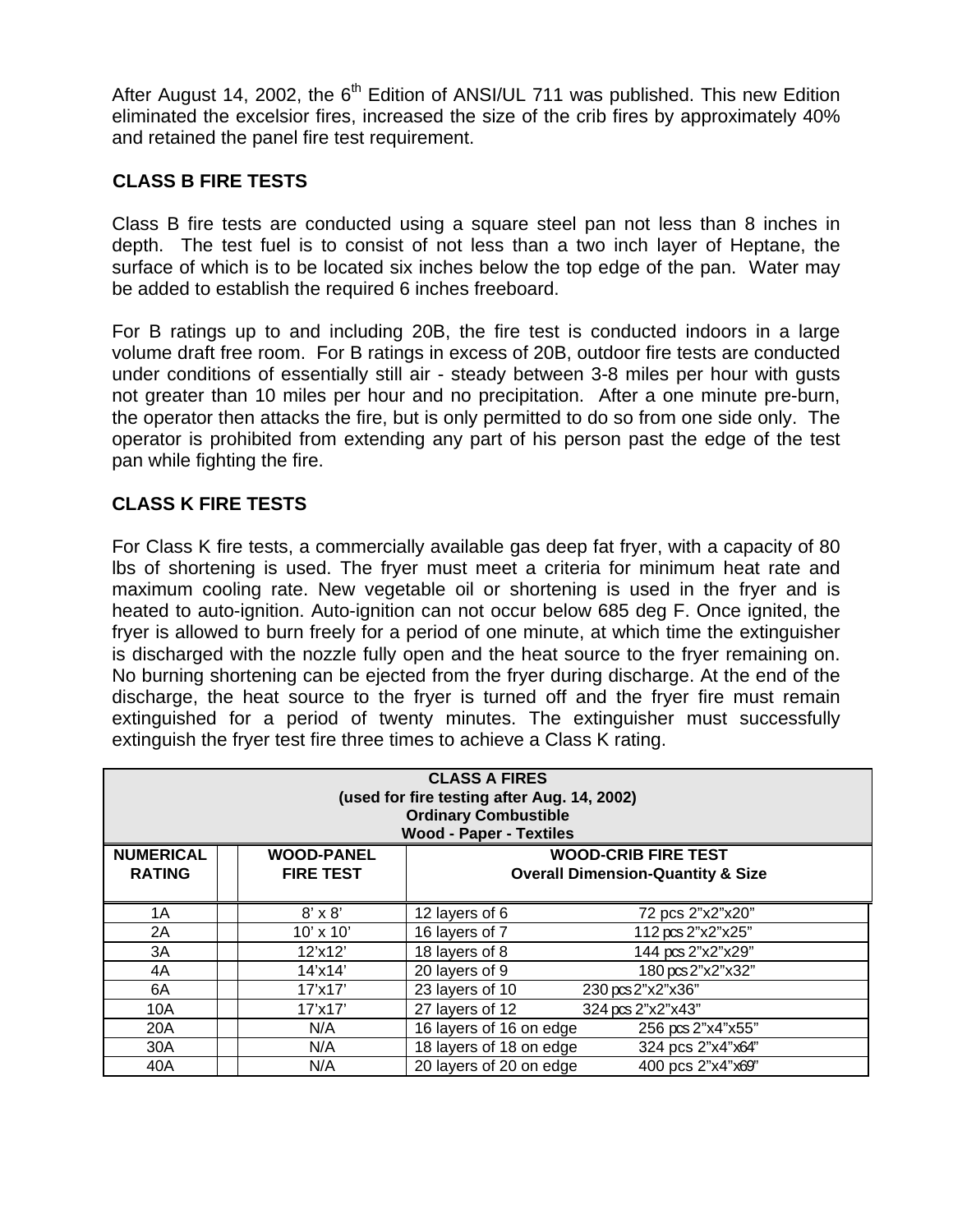After August 14, 2002, the  $6<sup>th</sup>$  Edition of ANSI/UL 711 was published. This new Edition eliminated the excelsior fires, increased the size of the crib fires by approximately 40% and retained the panel fire test requirement.

# **CLASS B FIRE TESTS**

Class B fire tests are conducted using a square steel pan not less than 8 inches in depth. The test fuel is to consist of not less than a two inch layer of Heptane, the surface of which is to be located six inches below the top edge of the pan. Water may be added to establish the required 6 inches freeboard.

For B ratings up to and including 20B, the fire test is conducted indoors in a large volume draft free room. For B ratings in excess of 20B, outdoor fire tests are conducted under conditions of essentially still air - steady between 3-8 miles per hour with gusts not greater than 10 miles per hour and no precipitation. After a one minute pre-burn, the operator then attacks the fire, but is only permitted to do so from one side only. The operator is prohibited from extending any part of his person past the edge of the test pan while fighting the fire.

# **CLASS K FIRE TESTS**

For Class K fire tests, a commercially available gas deep fat fryer, with a capacity of 80 lbs of shortening is used. The fryer must meet a criteria for minimum heat rate and maximum cooling rate. New vegetable oil or shortening is used in the fryer and is heated to auto-ignition. Auto-ignition can not occur below 685 deg F. Once ignited, the fryer is allowed to burn freely for a period of one minute, at which time the extinguisher is discharged with the nozzle fully open and the heat source to the fryer remaining on. No burning shortening can be ejected from the fryer during discharge. At the end of the discharge, the heat source to the fryer is turned off and the fryer fire must remain extinguished for a period of twenty minutes. The extinguisher must successfully extinguish the fryer test fire three times to achieve a Class K rating.

| <b>CLASS A FIRES</b><br>(used for fire testing after Aug. 14, 2002)<br><b>Ordinary Combustible</b><br><b>Wood - Paper - Textiles</b> |  |                                       |                                                                            |                   |  |
|--------------------------------------------------------------------------------------------------------------------------------------|--|---------------------------------------|----------------------------------------------------------------------------|-------------------|--|
| <b>NUMERICAL</b><br><b>RATING</b>                                                                                                    |  | <b>WOOD-PANEL</b><br><b>FIRE TEST</b> | <b>WOOD-CRIB FIRE TEST</b><br><b>Overall Dimension-Quantity &amp; Size</b> |                   |  |
|                                                                                                                                      |  |                                       |                                                                            |                   |  |
| 1A                                                                                                                                   |  | $8' \times 8'$                        | 12 layers of 6                                                             | 72 pcs 2"x2"x20"  |  |
| 2A                                                                                                                                   |  | $10' \times 10'$                      | 16 layers of 7                                                             | 112 pcs 2"x2"x25" |  |
| ЗA                                                                                                                                   |  | 12'x12'                               | 18 layers of 8                                                             | 144 pcs 2"x2"x29" |  |
| 4A                                                                                                                                   |  | $14'$ x $14'$                         | 20 layers of 9                                                             | 180 pcs 2"x2"x32" |  |
| 6A                                                                                                                                   |  | 17'x17'                               | 23 layers of 10                                                            | 230 pcs 2"x2"x36" |  |
| 10A                                                                                                                                  |  | $17'$ x $17'$                         | 27 layers of 12                                                            | 324 pcs 2"x2"x43" |  |
| 20A                                                                                                                                  |  | N/A                                   | 16 layers of 16 on edge                                                    | 256 pcs 2"x4"x55" |  |
| 30A                                                                                                                                  |  | N/A                                   | 18 layers of 18 on edge                                                    | 324 pcs 2"x4"x64" |  |
| 40A                                                                                                                                  |  | N/A                                   | 20 layers of 20 on edge                                                    | 400 pcs 2"x4"x69" |  |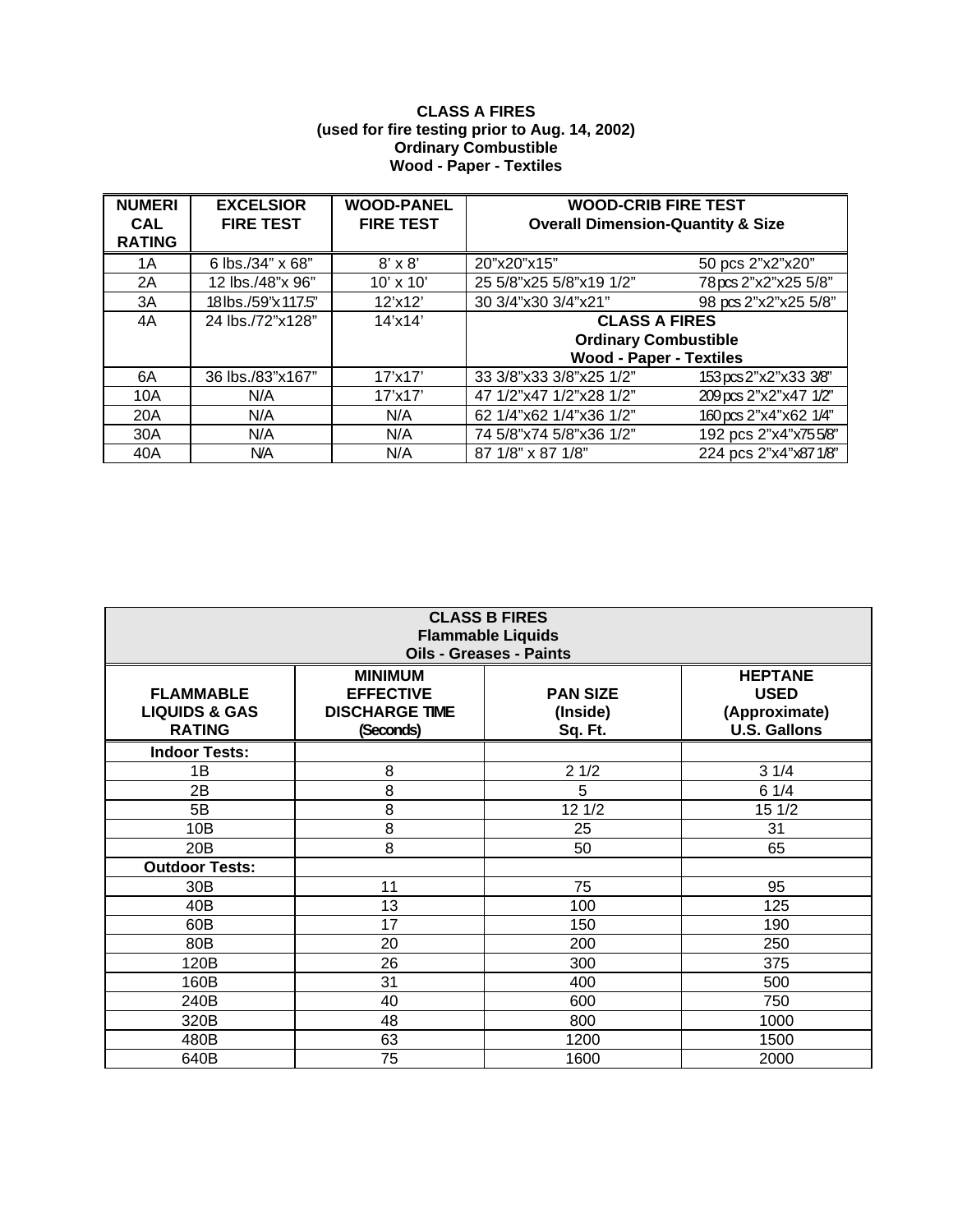#### **CLASS A FIRES (used for fire testing prior to Aug. 14, 2002) Ordinary Combustible Wood - Paper - Textiles**

| <b>NUMERI</b><br><b>CAL</b><br><b>RATING</b> | <b>EXCELSIOR</b><br><b>FIRE TEST</b> | <b>WOOD-PANEL</b><br><b>FIRE TEST</b> | <b>WOOD-CRIB FIRE TEST</b><br><b>Overall Dimension-Quantity &amp; Size</b> |                       |
|----------------------------------------------|--------------------------------------|---------------------------------------|----------------------------------------------------------------------------|-----------------------|
| 1A                                           | 6 lbs./34" x 68"                     | $8' \times 8'$                        | 20"x20"x15"                                                                | 50 pcs 2"x2"x20"      |
| 2A                                           | 12 lbs./48"x 96"                     | $10' \times 10'$                      | 25 5/8"x25 5/8"x19 1/2"                                                    | 78pcs 2"x2"x25 5/8"   |
| 3A                                           | 18lbs./59"x117.5"                    | 12'x12'                               | 30 3/4"x30 3/4"x21"                                                        | 98 pcs 2"x2"x25 5/8"  |
| 4A                                           | 24 lbs./72"x128"                     | 14'x14'                               | <b>CLASS A FIRES</b>                                                       |                       |
|                                              |                                      |                                       | <b>Ordinary Combustible</b>                                                |                       |
|                                              |                                      |                                       | <b>Wood - Paper - Textiles</b>                                             |                       |
| 6A                                           | 36 lbs./83"x167"                     | 17'x17'                               | 33 3/8"x33 3/8"x25 1/2"                                                    | 153 pcs 2"x2"x33 3/8" |
| 10A                                          | N/A                                  | 17'x17'                               | 47 1/2"x47 1/2"x28 1/2"                                                    | 209 pcs 2"x2"x47 1/2" |
| 20A                                          | N/A                                  | N/A                                   | 62 1/4"x62 1/4"x36 1/2"                                                    | 160 pcs 2"x4"x62 1/4" |
| 30A                                          | N/A                                  | N/A                                   | 74 5/8"x74 5/8"x36 1/2"                                                    | 192 pcs 2"x4"x755/8"  |
| 40A                                          | <b>N/A</b>                           | N/A                                   | 87 1/8" x 87 1/8"                                                          | 224 pcs 2"x4"x871/8"  |

| <b>CLASS B FIRES</b><br><b>Flammable Liquids</b><br><b>Oils - Greases - Paints</b> |                                                                          |                                        |                                                                       |  |
|------------------------------------------------------------------------------------|--------------------------------------------------------------------------|----------------------------------------|-----------------------------------------------------------------------|--|
| <b>FLAMMABLE</b><br><b>LIQUIDS &amp; GAS</b><br><b>RATING</b>                      | <b>MINIMUM</b><br><b>EFFECTIVE</b><br><b>DISCHARGE TIME</b><br>(Seconds) | <b>PAN SIZE</b><br>(Inside)<br>Sq. Ft. | <b>HEPTANE</b><br><b>USED</b><br>(Approximate)<br><b>U.S. Gallons</b> |  |
| <b>Indoor Tests:</b>                                                               |                                                                          |                                        |                                                                       |  |
| 1B                                                                                 | 8                                                                        | 21/2                                   | 31/4                                                                  |  |
| 2Β                                                                                 | 8                                                                        | 5                                      | 61/4                                                                  |  |
| 5B                                                                                 | 8                                                                        | 12 1/2                                 | 15 1/2                                                                |  |
| 10B                                                                                | 8                                                                        | 25                                     | 31                                                                    |  |
| 20B                                                                                | 8                                                                        | 50                                     | 65                                                                    |  |
| <b>Outdoor Tests:</b>                                                              |                                                                          |                                        |                                                                       |  |
| 30 <sub>B</sub>                                                                    | 11                                                                       | 75                                     | 95                                                                    |  |
| 40B                                                                                | 13                                                                       | 100                                    | 125                                                                   |  |
| 60B                                                                                | 17                                                                       | 150                                    | 190                                                                   |  |
| 80B                                                                                | 20                                                                       | 200                                    | 250                                                                   |  |
| 120B                                                                               | 26                                                                       | 300                                    | 375                                                                   |  |
| 160B                                                                               | 31                                                                       | 400                                    | 500                                                                   |  |
| 240B                                                                               | 40                                                                       | 600                                    | 750                                                                   |  |
| 320B                                                                               | 48                                                                       | 800                                    | 1000                                                                  |  |
| 480B                                                                               | 63                                                                       | 1200                                   | 1500                                                                  |  |
| 640B                                                                               | 75                                                                       | 1600                                   | 2000                                                                  |  |